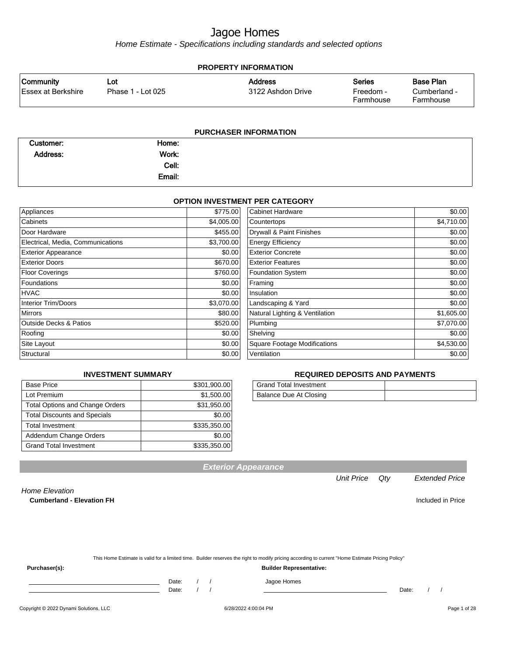Home Estimate - Specifications including standards and selected options

| <b>PROPERTY INFORMATION</b> |                   |                   |                        |                           |  |
|-----------------------------|-------------------|-------------------|------------------------|---------------------------|--|
| <b>Community</b>            | Lot               | <b>Address</b>    | <b>Series</b>          | Base Plan                 |  |
| Essex at Berkshire          | Phase 1 - Lot 025 | 3122 Ashdon Drive | Freedom -<br>Farmhouse | Cumberland -<br>Farmhouse |  |
|                             |                   |                   |                        |                           |  |

| <b>PURCHASER INFORMATION</b> |        |  |  |
|------------------------------|--------|--|--|
| Customer:                    | Home:  |  |  |
| Address:                     | Work:  |  |  |
|                              | Cell:  |  |  |
|                              | Email: |  |  |

#### **OPTION INVESTMENT PER CATEGORY**

| Appliances                        | \$775.00   | <b>Cabinet Hardware</b>             | \$0.00     |
|-----------------------------------|------------|-------------------------------------|------------|
| Cabinets                          | \$4,005.00 | Countertops                         | \$4,710.00 |
| Door Hardware                     | \$455.00   | Drywall & Paint Finishes            | \$0.00     |
| Electrical, Media, Communications | \$3,700.00 | <b>Energy Efficiency</b>            | \$0.00     |
| <b>Exterior Appearance</b>        | \$0.00     | <b>Exterior Concrete</b>            | \$0.00     |
| <b>Exterior Doors</b>             | \$670.00   | <b>Exterior Features</b>            | \$0.00     |
| Floor Coverings                   | \$760.00   | <b>Foundation System</b>            | \$0.00     |
| Foundations                       | \$0.00     | Framing                             | \$0.00     |
| <b>HVAC</b>                       | \$0.00     | Insulation                          | \$0.00     |
| Interior Trim/Doors               | \$3,070.00 | Landscaping & Yard                  | \$0.00     |
| <b>Mirrors</b>                    | \$80.00    | Natural Lighting & Ventilation      | \$1,605.00 |
| <b>Outside Decks &amp; Patios</b> | \$520.00   | Plumbing                            | \$7,070.00 |
| Roofing                           | \$0.00     | Shelving                            | \$0.00     |
| Site Layout                       | \$0.00     | <b>Square Footage Modifications</b> | \$4,530.00 |
| Structural                        | \$0.00     | Ventilation                         | \$0.00     |
|                                   |            |                                     |            |

#### **REQUIRED DEPOSITS AND PAYMENTS**

| <b>Grand Total Investment</b> |  |
|-------------------------------|--|
| Balance Due At Closing        |  |

| <b>Base Price</b>                      | \$301,900.00 |
|----------------------------------------|--------------|
| Lot Premium                            | \$1,500.00   |
| <b>Total Options and Change Orders</b> | \$31,950.00  |
| <b>Total Discounts and Specials</b>    | \$0.00       |
| <b>Total Investment</b>                | \$335,350.00 |
| Addendum Change Orders                 | \$0.00       |
| <b>Grand Total Investment</b>          | \$335,350.00 |

**INVESTMENT SUMMARY**

#### **Exterior Appearance**

#### Unit Price Qty Extended Price

Home Elevation **Cumberland - Elevation FH Included in Price** 

| This Home Estimate is valid for a limited time. Builder reserves the right to modify pricing according to current "Home Estimate Pricing Policy" |
|--------------------------------------------------------------------------------------------------------------------------------------------------|
|                                                                                                                                                  |
|                                                                                                                                                  |

**Purchaser(s): Builder Representative:**

Date: / / / Jagoe Homes

Date: / / Date: / /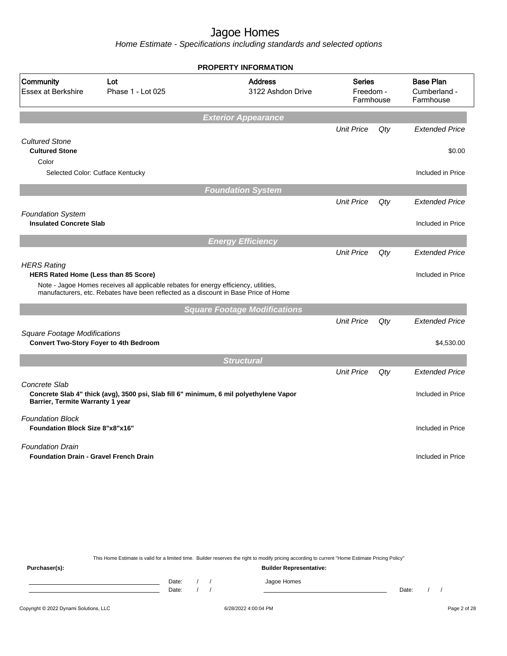Home Estimate - Specifications including standards and selected options

|                                                                   |                                                                                                                                                                             | <b>PROPERTY INFORMATION</b>         |                                         |     |                                               |
|-------------------------------------------------------------------|-----------------------------------------------------------------------------------------------------------------------------------------------------------------------------|-------------------------------------|-----------------------------------------|-----|-----------------------------------------------|
| Community<br><b>Essex at Berkshire</b>                            | Lot<br>Phase 1 - Lot 025                                                                                                                                                    | <b>Address</b><br>3122 Ashdon Drive | <b>Series</b><br>Freedom -<br>Farmhouse |     | <b>Base Plan</b><br>Cumberland -<br>Farmhouse |
|                                                                   |                                                                                                                                                                             | <b>Exterior Appearance</b>          |                                         |     |                                               |
|                                                                   |                                                                                                                                                                             |                                     | <b>Unit Price</b>                       | Qty | <b>Extended Price</b>                         |
| <b>Cultured Stone</b><br><b>Cultured Stone</b><br>Color           |                                                                                                                                                                             |                                     |                                         |     | \$0.00                                        |
|                                                                   | Selected Color: Cutface Kentucky                                                                                                                                            |                                     |                                         |     | Included in Price                             |
|                                                                   |                                                                                                                                                                             | <b>Foundation System</b>            |                                         |     |                                               |
|                                                                   |                                                                                                                                                                             |                                     | <b>Unit Price</b>                       | Qty | <b>Extended Price</b>                         |
| <b>Foundation System</b>                                          |                                                                                                                                                                             |                                     |                                         |     |                                               |
| <b>Insulated Concrete Slab</b>                                    |                                                                                                                                                                             |                                     |                                         |     | Included in Price                             |
|                                                                   |                                                                                                                                                                             | <b>Energy Efficiency</b>            |                                         |     |                                               |
|                                                                   |                                                                                                                                                                             |                                     | <b>Unit Price</b>                       | Qty | <b>Extended Price</b>                         |
| <b>HERS Rating</b><br>HERS Rated Home (Less than 85 Score)        |                                                                                                                                                                             |                                     |                                         |     | Included in Price                             |
|                                                                   | Note - Jagoe Homes receives all applicable rebates for energy efficiency, utilities,<br>manufacturers, etc. Rebates have been reflected as a discount in Base Price of Home |                                     |                                         |     |                                               |
|                                                                   |                                                                                                                                                                             | <b>Square Footage Modifications</b> |                                         |     |                                               |
|                                                                   |                                                                                                                                                                             |                                     | <b>Unit Price</b>                       | Qty | <b>Extended Price</b>                         |
| <b>Square Footage Modifications</b>                               |                                                                                                                                                                             |                                     |                                         |     |                                               |
| <b>Convert Two-Story Foyer to 4th Bedroom</b>                     |                                                                                                                                                                             |                                     |                                         |     | \$4,530.00                                    |
|                                                                   |                                                                                                                                                                             | <b>Structural</b>                   |                                         |     |                                               |
|                                                                   |                                                                                                                                                                             |                                     | <b>Unit Price</b>                       | Qty | <b>Extended Price</b>                         |
| Concrete Slab<br>Barrier, Termite Warranty 1 year                 | Concrete Slab 4" thick (avg), 3500 psi, Slab fill 6" minimum, 6 mil polyethylene Vapor                                                                                      |                                     |                                         |     | Included in Price                             |
| <b>Foundation Block</b><br><b>Foundation Block Size 8"x8"x16"</b> |                                                                                                                                                                             |                                     |                                         |     | Included in Price                             |
| <b>Foundation Drain</b>                                           |                                                                                                                                                                             |                                     |                                         |     |                                               |
| <b>Foundation Drain - Gravel French Drain</b>                     |                                                                                                                                                                             |                                     |                                         |     | Included in Price                             |
|                                                                   |                                                                                                                                                                             |                                     |                                         |     |                                               |
|                                                                   |                                                                                                                                                                             |                                     |                                         |     |                                               |
|                                                                   |                                                                                                                                                                             |                                     |                                         |     |                                               |

This Home Estimate is valid for a limited time. Builder reserves the right to modify pricing according to current "Home Estimate Pricing Policy"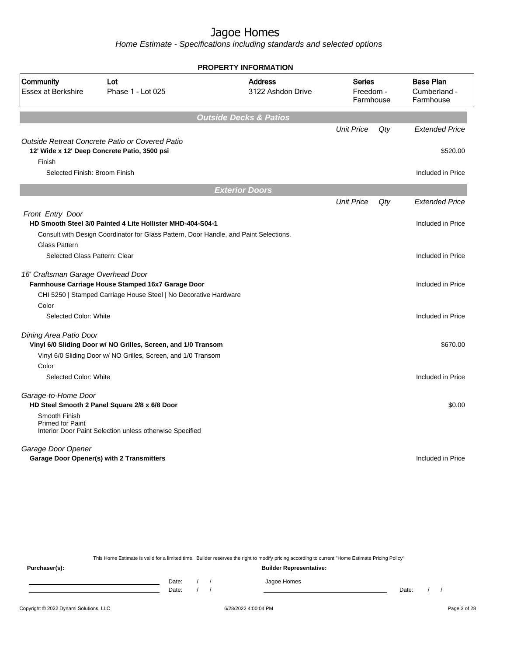Home Estimate - Specifications including standards and selected options

|                                                                 |                                                                                                 | <b>PROPERTY INFORMATION</b>         |                                         |     |                                               |
|-----------------------------------------------------------------|-------------------------------------------------------------------------------------------------|-------------------------------------|-----------------------------------------|-----|-----------------------------------------------|
| Community<br><b>Essex at Berkshire</b>                          | Lot<br>Phase 1 - Lot 025                                                                        | <b>Address</b><br>3122 Ashdon Drive | <b>Series</b><br>Freedom -<br>Farmhouse |     | <b>Base Plan</b><br>Cumberland -<br>Farmhouse |
|                                                                 |                                                                                                 | <b>Outside Decks &amp; Patios</b>   |                                         |     |                                               |
|                                                                 |                                                                                                 |                                     | <b>Unit Price</b>                       | Qty | <b>Extended Price</b>                         |
| Finish                                                          | Outside Retreat Concrete Patio or Covered Patio<br>12' Wide x 12' Deep Concrete Patio, 3500 psi |                                     |                                         |     | \$520.00                                      |
| Selected Finish: Broom Finish                                   |                                                                                                 |                                     |                                         |     | Included in Price                             |
|                                                                 |                                                                                                 | <b>Exterior Doors</b>               |                                         |     |                                               |
|                                                                 |                                                                                                 |                                     | <b>Unit Price</b>                       | Qty | <b>Extended Price</b>                         |
| <b>Front Entry Door</b>                                         |                                                                                                 |                                     |                                         |     |                                               |
|                                                                 | HD Smooth Steel 3/0 Painted 4 Lite Hollister MHD-404-S04-1                                      |                                     |                                         |     | Included in Price                             |
|                                                                 | Consult with Design Coordinator for Glass Pattern, Door Handle, and Paint Selections.           |                                     |                                         |     |                                               |
| <b>Glass Pattern</b>                                            |                                                                                                 |                                     |                                         |     |                                               |
| Selected Glass Pattern: Clear                                   |                                                                                                 |                                     |                                         |     | Included in Price                             |
| 16' Craftsman Garage Overhead Door                              | Farmhouse Carriage House Stamped 16x7 Garage Door                                               |                                     |                                         |     | Included in Price                             |
|                                                                 | CHI 5250   Stamped Carriage House Steel   No Decorative Hardware                                |                                     |                                         |     |                                               |
| Color                                                           |                                                                                                 |                                     |                                         |     |                                               |
| Selected Color: White                                           |                                                                                                 |                                     |                                         |     | Included in Price                             |
| Dining Area Patio Door                                          |                                                                                                 |                                     |                                         |     |                                               |
|                                                                 | Vinyl 6/0 Sliding Door w/ NO Grilles, Screen, and 1/0 Transom                                   |                                     |                                         |     | \$670.00                                      |
|                                                                 | Vinyl 6/0 Sliding Door w/ NO Grilles, Screen, and 1/0 Transom                                   |                                     |                                         |     |                                               |
| Color                                                           |                                                                                                 |                                     |                                         |     |                                               |
| Selected Color: White                                           |                                                                                                 |                                     |                                         |     | Included in Price                             |
| Garage-to-Home Door                                             | HD Steel Smooth 2 Panel Square 2/8 x 6/8 Door                                                   |                                     |                                         |     | \$0.00                                        |
| Smooth Finish<br><b>Primed for Paint</b>                        | Interior Door Paint Selection unless otherwise Specified                                        |                                     |                                         |     |                                               |
| Garage Door Opener<br>Garage Door Opener(s) with 2 Transmitters |                                                                                                 |                                     |                                         |     | Included in Price                             |

This Home Estimate is valid for a limited time. Builder reserves the right to modify pricing according to current "Home Estimate Pricing Policy"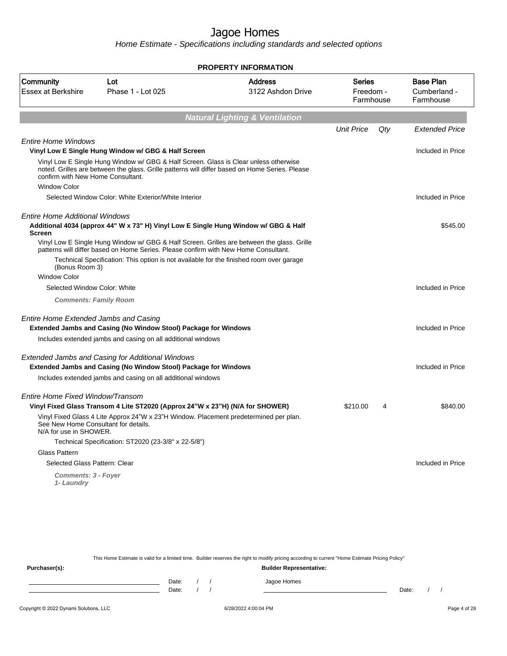Home Estimate - Specifications including standards and selected options

|                                          |                                                                                                                                                                                        | <b>PROPERTY INFORMATION</b>               |                                         |     |                                               |
|------------------------------------------|----------------------------------------------------------------------------------------------------------------------------------------------------------------------------------------|-------------------------------------------|-----------------------------------------|-----|-----------------------------------------------|
| Community<br><b>Essex at Berkshire</b>   | Lot<br>Phase 1 - Lot 025                                                                                                                                                               | <b>Address</b><br>3122 Ashdon Drive       | <b>Series</b><br>Freedom -<br>Farmhouse |     | <b>Base Plan</b><br>Cumberland -<br>Farmhouse |
|                                          |                                                                                                                                                                                        | <b>Natural Lighting &amp; Ventilation</b> |                                         |     |                                               |
|                                          |                                                                                                                                                                                        |                                           | <b>Unit Price</b>                       | Qty | <b>Extended Price</b>                         |
|                                          |                                                                                                                                                                                        |                                           |                                         |     |                                               |
| <b>Entire Home Windows</b>               | Vinyl Low E Single Hung Window w/ GBG & Half Screen                                                                                                                                    |                                           |                                         |     | Included in Price                             |
| confirm with New Home Consultant.        | Vinyl Low E Single Hung Window w/ GBG & Half Screen. Glass is Clear unless otherwise<br>noted. Grilles are between the glass. Grille patterns will differ based on Home Series. Please |                                           |                                         |     |                                               |
| <b>Window Color</b>                      |                                                                                                                                                                                        |                                           |                                         |     |                                               |
|                                          | Selected Window Color: White Exterior/White Interior                                                                                                                                   |                                           |                                         |     | Included in Price                             |
| Entire Home Additional Windows           |                                                                                                                                                                                        |                                           |                                         |     |                                               |
| <b>Screen</b>                            | Additional 4034 (approx 44" W x 73" H) Vinyl Low E Single Hung Window w/ GBG & Half                                                                                                    |                                           |                                         |     | \$545.00                                      |
|                                          | Vinyl Low E Single Hung Window w/ GBG & Half Screen. Grilles are between the glass. Grille<br>patterns will differ based on Home Series. Please confirm with New Home Consultant.      |                                           |                                         |     |                                               |
| (Bonus Room 3)                           | Technical Specification: This option is not available for the finished room over garage                                                                                                |                                           |                                         |     |                                               |
| <b>Window Color</b>                      |                                                                                                                                                                                        |                                           |                                         |     |                                               |
| Selected Window Color: White             |                                                                                                                                                                                        |                                           |                                         |     | Included in Price                             |
|                                          | <b>Comments: Family Room</b>                                                                                                                                                           |                                           |                                         |     |                                               |
| Entire Home Extended Jambs and Casing    |                                                                                                                                                                                        |                                           |                                         |     |                                               |
|                                          | <b>Extended Jambs and Casing (No Window Stool) Package for Windows</b>                                                                                                                 |                                           |                                         |     | Included in Price                             |
|                                          | Includes extended jambs and casing on all additional windows                                                                                                                           |                                           |                                         |     |                                               |
|                                          | <b>Extended Jambs and Casing for Additional Windows</b><br><b>Extended Jambs and Casing (No Window Stool) Package for Windows</b>                                                      |                                           |                                         |     | Included in Price                             |
|                                          | Includes extended jambs and casing on all additional windows                                                                                                                           |                                           |                                         |     |                                               |
| Entire Home Fixed Window/Transom         |                                                                                                                                                                                        |                                           |                                         |     |                                               |
|                                          | Vinyl Fixed Glass Transom 4 Lite ST2020 (Approx 24"W x 23"H) (N/A for SHOWER)                                                                                                          |                                           | \$210.00                                | 4   | \$840.00                                      |
| N/A for use in SHOWER.                   | Vinyl Fixed Glass 4 Lite Approx 24"W x 23"H Window. Placement predetermined per plan.<br>See New Home Consultant for details.                                                          |                                           |                                         |     |                                               |
|                                          | Technical Specification: ST2020 (23-3/8" x 22-5/8")                                                                                                                                    |                                           |                                         |     |                                               |
| <b>Glass Pattern</b>                     |                                                                                                                                                                                        |                                           |                                         |     |                                               |
| Selected Glass Pattern: Clear            |                                                                                                                                                                                        |                                           |                                         |     | Included in Price                             |
| <b>Comments: 3 - Foyer</b><br>1- Laundry |                                                                                                                                                                                        |                                           |                                         |     |                                               |
|                                          |                                                                                                                                                                                        |                                           |                                         |     |                                               |

This Home Estimate is valid for a limited time. Builder reserves the right to modify pricing according to current "Home Estimate Pricing Policy"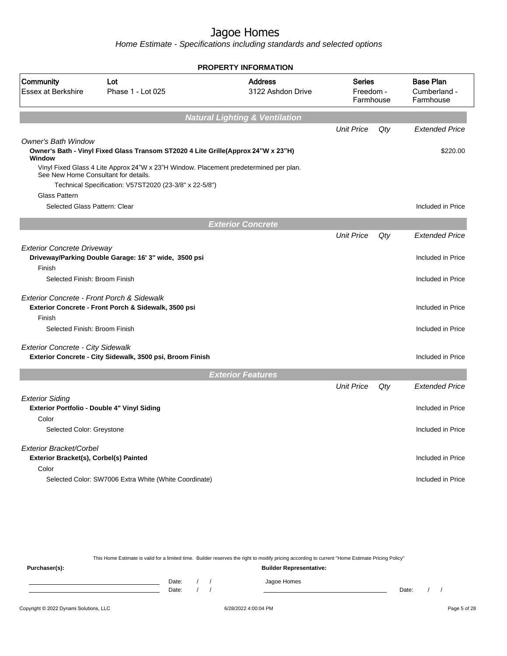Home Estimate - Specifications including standards and selected options

|                                                       |                                                                                       | <b>PROPERTY INFORMATION</b>               |                                         |     |                                               |
|-------------------------------------------------------|---------------------------------------------------------------------------------------|-------------------------------------------|-----------------------------------------|-----|-----------------------------------------------|
| Community<br><b>Essex at Berkshire</b>                | Lot<br>Phase 1 - Lot 025                                                              | <b>Address</b><br>3122 Ashdon Drive       | <b>Series</b><br>Freedom -<br>Farmhouse |     | <b>Base Plan</b><br>Cumberland -<br>Farmhouse |
|                                                       |                                                                                       | <b>Natural Lighting &amp; Ventilation</b> |                                         |     |                                               |
|                                                       |                                                                                       |                                           | <b>Unit Price</b>                       | Qty | <b>Extended Price</b>                         |
| <b>Owner's Bath Window</b>                            |                                                                                       |                                           |                                         |     |                                               |
| Window                                                | Owner's Bath - Vinyl Fixed Glass Transom ST2020 4 Lite Grille(Approx 24"W x 23"H)     |                                           |                                         |     | \$220.00                                      |
| See New Home Consultant for details.                  | Vinyl Fixed Glass 4 Lite Approx 24"W x 23"H Window. Placement predetermined per plan. |                                           |                                         |     |                                               |
|                                                       | Technical Specification: V57ST2020 (23-3/8" x 22-5/8")                                |                                           |                                         |     |                                               |
| <b>Glass Pattern</b><br>Selected Glass Pattern: Clear |                                                                                       |                                           |                                         |     | Included in Price                             |
|                                                       |                                                                                       |                                           |                                         |     |                                               |
|                                                       |                                                                                       | <b>Exterior Concrete</b>                  |                                         |     |                                               |
|                                                       |                                                                                       |                                           | <b>Unit Price</b>                       | Qty | <b>Extended Price</b>                         |
| <b>Exterior Concrete Driveway</b>                     | Driveway/Parking Double Garage: 16' 3" wide, 3500 psi                                 |                                           |                                         |     | Included in Price                             |
| Finish                                                |                                                                                       |                                           |                                         |     |                                               |
| Selected Finish: Broom Finish                         |                                                                                       |                                           |                                         |     | Included in Price                             |
| <b>Exterior Concrete - Front Porch &amp; Sidewalk</b> | Exterior Concrete - Front Porch & Sidewalk, 3500 psi                                  |                                           |                                         |     | Included in Price                             |
| Finish                                                |                                                                                       |                                           |                                         |     |                                               |
| Selected Finish: Broom Finish                         |                                                                                       |                                           |                                         |     | Included in Price                             |
| <b>Exterior Concrete - City Sidewalk</b>              | Exterior Concrete - City Sidewalk, 3500 psi, Broom Finish                             |                                           |                                         |     | Included in Price                             |
|                                                       |                                                                                       |                                           |                                         |     |                                               |
|                                                       |                                                                                       | <b>Exterior Features</b>                  |                                         |     |                                               |
|                                                       |                                                                                       |                                           | <b>Unit Price</b>                       | Qty | <b>Extended Price</b>                         |
| <b>Exterior Siding</b>                                |                                                                                       |                                           |                                         |     |                                               |
|                                                       | Exterior Portfolio - Double 4" Vinyl Siding                                           |                                           |                                         |     | Included in Price                             |
| Color                                                 |                                                                                       |                                           |                                         |     |                                               |
| Selected Color: Greystone                             |                                                                                       |                                           |                                         |     | Included in Price                             |
| Exterior Bracket/Corbel                               |                                                                                       |                                           |                                         |     |                                               |
| Exterior Bracket(s), Corbel(s) Painted                |                                                                                       |                                           |                                         |     | Included in Price                             |
| Color                                                 |                                                                                       |                                           |                                         |     |                                               |
|                                                       | Selected Color: SW7006 Extra White (White Coordinate)                                 |                                           |                                         |     | Included in Price                             |
|                                                       |                                                                                       |                                           |                                         |     |                                               |

This Home Estimate is valid for a limited time. Builder reserves the right to modify pricing according to current "Home Estimate Pricing Policy" **Purchaser(s): Builder Representative:** Date: / / Jagoe Homes<br>Date: / / Jagoe Homes Date: / / Date: / /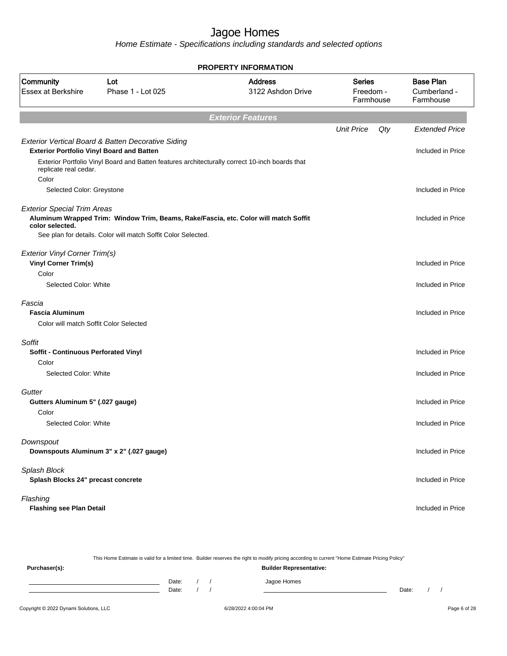Home Estimate - Specifications including standards and selected options

|                                                                                  |                                                                                                                                                       | <b>PROPERTY INFORMATION</b>         |                                         |     |                                               |
|----------------------------------------------------------------------------------|-------------------------------------------------------------------------------------------------------------------------------------------------------|-------------------------------------|-----------------------------------------|-----|-----------------------------------------------|
| Community<br><b>Essex at Berkshire</b>                                           | Lot<br>Phase 1 - Lot 025                                                                                                                              | <b>Address</b><br>3122 Ashdon Drive | <b>Series</b><br>Freedom -<br>Farmhouse |     | <b>Base Plan</b><br>Cumberland -<br>Farmhouse |
|                                                                                  |                                                                                                                                                       | <b>Exterior Features</b>            |                                         |     |                                               |
|                                                                                  |                                                                                                                                                       |                                     | <b>Unit Price</b>                       | Qty | <b>Extended Price</b>                         |
| <b>Exterior Portfolio Vinyl Board and Batten</b><br>replicate real cedar.        | Exterior Vertical Board & Batten Decorative Siding<br>Exterior Portfolio Vinyl Board and Batten features architecturally correct 10-inch boards that  |                                     |                                         |     | Included in Price                             |
| Color<br>Selected Color: Greystone                                               |                                                                                                                                                       |                                     |                                         |     | Included in Price                             |
| <b>Exterior Special Trim Areas</b><br>color selected.                            | Aluminum Wrapped Trim: Window Trim, Beams, Rake/Fascia, etc. Color will match Soffit<br>See plan for details. Color will match Soffit Color Selected. |                                     |                                         |     | Included in Price                             |
| <b>Exterior Vinyl Corner Trim(s)</b><br><b>Vinyl Corner Trim(s)</b>              |                                                                                                                                                       |                                     |                                         |     | Included in Price                             |
| Color<br>Selected Color: White                                                   |                                                                                                                                                       |                                     |                                         |     | Included in Price                             |
| Fascia<br><b>Fascia Aluminum</b><br>Color will match Soffit Color Selected       |                                                                                                                                                       |                                     |                                         |     | Included in Price                             |
| Soffit<br>Soffit - Continuous Perforated Vinyl<br>Color<br>Selected Color: White |                                                                                                                                                       |                                     |                                         |     | Included in Price<br>Included in Price        |
| Gutter<br>Gutters Aluminum 5" (.027 gauge)<br>Color<br>Selected Color: White     |                                                                                                                                                       |                                     |                                         |     | Included in Price<br>Included in Price        |
| Downspout                                                                        | Downspouts Aluminum 3" x 2" (.027 gauge)                                                                                                              |                                     |                                         |     | Included in Price                             |
| Splash Block<br>Splash Blocks 24" precast concrete                               |                                                                                                                                                       |                                     |                                         |     | Included in Price                             |
| Flashing<br><b>Flashing see Plan Detail</b>                                      |                                                                                                                                                       |                                     |                                         |     | Included in Price                             |

Copyright © 2022 Dynami Solutions, LLC <br>
G/28/2022 4:00:04 PM Page 6 of 28 This Home Estimate is valid for a limited time. Builder reserves the right to modify pricing according to current "Home Estimate Pricing Policy" **Purchaser(s): Builder Representative:** Date: / / Jagoe Homes<br>Date: / / Jagoe Homes Date: / / **Date: / / 2006** Date: / / / Date: / / /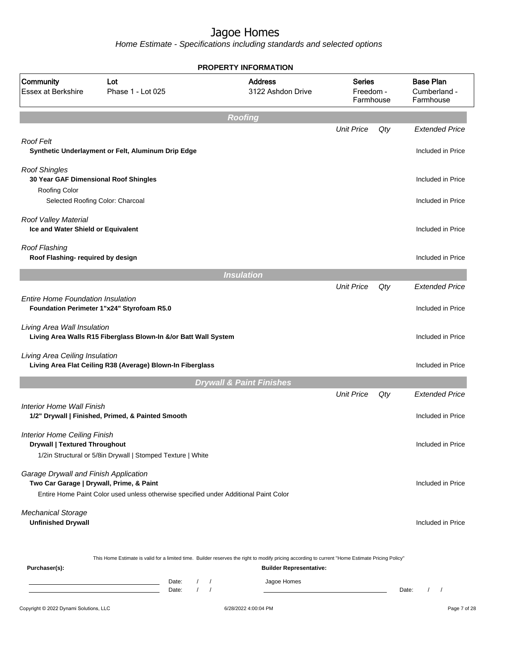|                                                                                   |                                                                                                                                                        | <b>PROPERTY INFORMATION</b>                                                                                                                                                        |                                         |     |                                               |
|-----------------------------------------------------------------------------------|--------------------------------------------------------------------------------------------------------------------------------------------------------|------------------------------------------------------------------------------------------------------------------------------------------------------------------------------------|-----------------------------------------|-----|-----------------------------------------------|
| Community<br><b>Essex at Berkshire</b>                                            | Lot<br>Phase 1 - Lot 025                                                                                                                               | <b>Address</b><br>3122 Ashdon Drive                                                                                                                                                | <b>Series</b><br>Freedom -<br>Farmhouse |     | <b>Base Plan</b><br>Cumberland -<br>Farmhouse |
|                                                                                   |                                                                                                                                                        | <b>Roofing</b>                                                                                                                                                                     |                                         |     |                                               |
|                                                                                   |                                                                                                                                                        |                                                                                                                                                                                    | <b>Unit Price</b>                       | Qty | <b>Extended Price</b>                         |
| <b>Roof Felt</b>                                                                  | Synthetic Underlayment or Felt, Aluminum Drip Edge                                                                                                     |                                                                                                                                                                                    |                                         |     | Included in Price                             |
| <b>Roof Shingles</b><br>30 Year GAF Dimensional Roof Shingles                     |                                                                                                                                                        |                                                                                                                                                                                    |                                         |     | Included in Price                             |
| <b>Roofing Color</b><br>Selected Roofing Color: Charcoal                          |                                                                                                                                                        |                                                                                                                                                                                    |                                         |     | Included in Price                             |
| Roof Valley Material<br>Ice and Water Shield or Equivalent                        |                                                                                                                                                        |                                                                                                                                                                                    |                                         |     | Included in Price                             |
| Roof Flashing<br>Roof Flashing- required by design                                |                                                                                                                                                        |                                                                                                                                                                                    |                                         |     | Included in Price                             |
|                                                                                   |                                                                                                                                                        | <b>Insulation</b>                                                                                                                                                                  |                                         |     |                                               |
|                                                                                   |                                                                                                                                                        |                                                                                                                                                                                    | <b>Unit Price</b>                       | Qty | <b>Extended Price</b>                         |
| <b>Entire Home Foundation Insulation</b>                                          | Foundation Perimeter 1"x24" Styrofoam R5.0                                                                                                             |                                                                                                                                                                                    |                                         |     | Included in Price                             |
| Living Area Wall Insulation                                                       | Living Area Walls R15 Fiberglass Blown-In &/or Batt Wall System                                                                                        |                                                                                                                                                                                    |                                         |     | Included in Price                             |
| Living Area Ceiling Insulation                                                    | Living Area Flat Ceiling R38 (Average) Blown-In Fiberglass                                                                                             |                                                                                                                                                                                    |                                         |     | Included in Price                             |
|                                                                                   |                                                                                                                                                        | <b>Drywall &amp; Paint Finishes</b>                                                                                                                                                |                                         |     |                                               |
|                                                                                   |                                                                                                                                                        |                                                                                                                                                                                    | <b>Unit Price</b>                       | Qty | <b>Extended Price</b>                         |
| Interior Home Wall Finish                                                         | 1/2" Drywall   Finished, Primed, & Painted Smooth                                                                                                      |                                                                                                                                                                                    |                                         |     | Included in Price                             |
| <b>Interior Home Ceiling Finish</b><br><b>Drywall   Textured Throughout</b>       | 1/2in Structural or 5/8in Drywall   Stomped Texture   White                                                                                            |                                                                                                                                                                                    |                                         |     | Included in Price                             |
| Garage Drywall and Finish Application<br>Two Car Garage   Drywall, Prime, & Paint | Entire Home Paint Color used unless otherwise specified under Additional Paint Color                                                                   |                                                                                                                                                                                    |                                         |     | Included in Price                             |
| <b>Mechanical Storage</b><br><b>Unfinished Drywall</b>                            |                                                                                                                                                        |                                                                                                                                                                                    |                                         |     | Included in Price                             |
| Purchaser(s):                                                                     |                                                                                                                                                        | This Home Estimate is valid for a limited time. Builder reserves the right to modify pricing according to current "Home Estimate Pricing Policy"<br><b>Builder Representative:</b> |                                         |     |                                               |
|                                                                                   | Date:<br>$\left  \right $<br><u> 1980 - Johann Barn, amerikansk politiker (</u><br>$\sqrt{ }$<br>the control of the control of the control of<br>Date: | Jagoe Homes<br>$\sqrt{ }$                                                                                                                                                          |                                         |     | Date:<br>$\left  \right $                     |
| Copyright © 2022 Dynami Solutions, LLC                                            |                                                                                                                                                        | 6/28/2022 4:00:04 PM                                                                                                                                                               |                                         |     | Page 7 of 28                                  |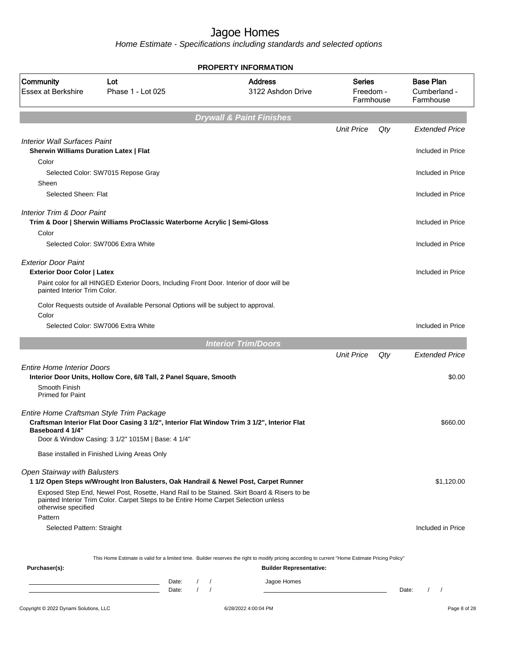|                                                                                                  |                                                                                                                                                                                   | <b>PROPERTY INFORMATION</b>                                                                                                                      |                                         |     |                                               |
|--------------------------------------------------------------------------------------------------|-----------------------------------------------------------------------------------------------------------------------------------------------------------------------------------|--------------------------------------------------------------------------------------------------------------------------------------------------|-----------------------------------------|-----|-----------------------------------------------|
| Community<br><b>Essex at Berkshire</b>                                                           | Lot<br>Phase 1 - Lot 025                                                                                                                                                          | <b>Address</b><br>3122 Ashdon Drive                                                                                                              | <b>Series</b><br>Freedom -<br>Farmhouse |     | <b>Base Plan</b><br>Cumberland -<br>Farmhouse |
|                                                                                                  |                                                                                                                                                                                   | <b>Drywall &amp; Paint Finishes</b>                                                                                                              |                                         |     |                                               |
|                                                                                                  |                                                                                                                                                                                   |                                                                                                                                                  | <b>Unit Price</b>                       | Qty | <b>Extended Price</b>                         |
| <b>Interior Wall Surfaces Paint</b><br><b>Sherwin Williams Duration Latex   Flat</b>             |                                                                                                                                                                                   |                                                                                                                                                  |                                         |     | Included in Price                             |
| Color                                                                                            | Selected Color: SW7015 Repose Gray                                                                                                                                                |                                                                                                                                                  |                                         |     | Included in Price                             |
| Sheen<br>Selected Sheen: Flat                                                                    |                                                                                                                                                                                   |                                                                                                                                                  |                                         |     | Included in Price                             |
| Interior Trim & Door Paint<br>Color                                                              | Trim & Door   Sherwin Williams ProClassic Waterborne Acrylic   Semi-Gloss                                                                                                         |                                                                                                                                                  |                                         |     | Included in Price                             |
|                                                                                                  | Selected Color: SW7006 Extra White                                                                                                                                                |                                                                                                                                                  |                                         |     | Included in Price                             |
| <b>Exterior Door Paint</b><br><b>Exterior Door Color   Latex</b><br>painted Interior Trim Color. | Paint color for all HINGED Exterior Doors, Including Front Door. Interior of door will be                                                                                         |                                                                                                                                                  |                                         |     | Included in Price                             |
| Color                                                                                            | Color Requests outside of Available Personal Options will be subject to approval.                                                                                                 |                                                                                                                                                  |                                         |     |                                               |
|                                                                                                  | Selected Color: SW7006 Extra White                                                                                                                                                |                                                                                                                                                  |                                         |     | Included in Price                             |
|                                                                                                  |                                                                                                                                                                                   | <b>Interior Trim/Doors</b>                                                                                                                       |                                         |     |                                               |
|                                                                                                  |                                                                                                                                                                                   |                                                                                                                                                  | <b>Unit Price</b>                       | Qty | <b>Extended Price</b>                         |
| <b>Entire Home Interior Doors</b>                                                                | Interior Door Units, Hollow Core, 6/8 Tall, 2 Panel Square, Smooth                                                                                                                |                                                                                                                                                  |                                         |     | \$0.00                                        |
| Smooth Finish<br><b>Primed for Paint</b>                                                         |                                                                                                                                                                                   |                                                                                                                                                  |                                         |     |                                               |
| Entire Home Craftsman Style Trim Package<br><b>Baseboard 4 1/4"</b>                              | Craftsman Interior Flat Door Casing 3 1/2", Interior Flat Window Trim 3 1/2", Interior Flat<br>Door & Window Casing: 3 1/2" 1015M   Base: 4 1/4"                                  |                                                                                                                                                  |                                         |     | \$660.00                                      |
|                                                                                                  | Base installed in Finished Living Areas Only                                                                                                                                      |                                                                                                                                                  |                                         |     |                                               |
| Open Stairway with Balusters                                                                     | 1 1/2 Open Steps w/Wrought Iron Balusters, Oak Handrail & Newel Post, Carpet Runner                                                                                               |                                                                                                                                                  |                                         |     | \$1,120.00                                    |
| otherwise specified                                                                              | Exposed Step End, Newel Post, Rosette, Hand Rail to be Stained. Skirt Board & Risers to be<br>painted Interior Trim Color. Carpet Steps to be Entire Home Carpet Selection unless |                                                                                                                                                  |                                         |     |                                               |
| Pattern<br>Selected Pattern: Straight                                                            |                                                                                                                                                                                   |                                                                                                                                                  |                                         |     | Included in Price                             |
|                                                                                                  |                                                                                                                                                                                   | This Home Estimate is valid for a limited time. Builder reserves the right to modify pricing according to current "Home Estimate Pricing Policy" |                                         |     |                                               |
| Purchaser(s):                                                                                    | Date:<br><u> 1989 - Johann Barn, mars and de Branch Barn, mars and de Branch Barn, mars and de Branch Barn, mars and de Br</u>                                                    | <b>Builder Representative:</b><br>Jagoe Homes<br>$\sqrt{ }$                                                                                      |                                         |     |                                               |
|                                                                                                  | $\sqrt{ }$<br>$\sqrt{ }$<br><u> 1989 - Johann Barn, mars ann an t-Amhair ann an t-</u><br>Date:                                                                                   |                                                                                                                                                  |                                         |     | Date:<br>$1 \quad 1$                          |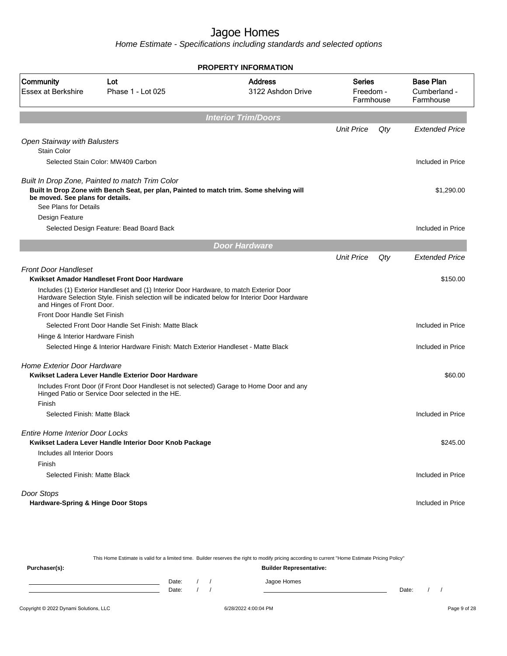Home Estimate - Specifications including standards and selected options

|                                                                                                              |                                                        | <b>PROPERTY INFORMATION</b>                                                                                                                                                             |                                  |     |                                               |
|--------------------------------------------------------------------------------------------------------------|--------------------------------------------------------|-----------------------------------------------------------------------------------------------------------------------------------------------------------------------------------------|----------------------------------|-----|-----------------------------------------------|
| Community<br><b>Essex at Berkshire</b>                                                                       | Lot<br>Phase 1 - Lot 025                               | <b>Address</b><br>3122 Ashdon Drive                                                                                                                                                     | Series<br>Freedom -<br>Farmhouse |     | <b>Base Plan</b><br>Cumberland -<br>Farmhouse |
|                                                                                                              |                                                        | <b>Interior Trim/Doors</b>                                                                                                                                                              |                                  |     |                                               |
|                                                                                                              |                                                        |                                                                                                                                                                                         | <b>Unit Price</b>                | Qty | <b>Extended Price</b>                         |
| Open Stairway with Balusters                                                                                 |                                                        |                                                                                                                                                                                         |                                  |     |                                               |
| <b>Stain Color</b>                                                                                           |                                                        |                                                                                                                                                                                         |                                  |     |                                               |
| Selected Stain Color: MW409 Carbon                                                                           |                                                        |                                                                                                                                                                                         |                                  |     | Included in Price                             |
| Built In Drop Zone, Painted to match Trim Color<br>be moved. See plans for details.<br>See Plans for Details |                                                        | Built In Drop Zone with Bench Seat, per plan, Painted to match trim. Some shelving will                                                                                                 |                                  |     | \$1,290.00                                    |
| Design Feature                                                                                               |                                                        |                                                                                                                                                                                         |                                  |     |                                               |
|                                                                                                              | Selected Design Feature: Bead Board Back               |                                                                                                                                                                                         |                                  |     | Included in Price                             |
|                                                                                                              |                                                        | <b>Door Hardware</b>                                                                                                                                                                    |                                  |     |                                               |
|                                                                                                              |                                                        |                                                                                                                                                                                         | <b>Unit Price</b>                | Qty | <b>Extended Price</b>                         |
| <b>Front Door Handleset</b>                                                                                  |                                                        |                                                                                                                                                                                         |                                  |     |                                               |
| Kwikset Amador Handleset Front Door Hardware                                                                 |                                                        |                                                                                                                                                                                         |                                  |     | \$150.00                                      |
| and Hinges of Front Door.                                                                                    |                                                        | Includes (1) Exterior Handleset and (1) Interior Door Hardware, to match Exterior Door<br>Hardware Selection Style. Finish selection will be indicated below for Interior Door Hardware |                                  |     |                                               |
| Front Door Handle Set Finish                                                                                 |                                                        |                                                                                                                                                                                         |                                  |     |                                               |
|                                                                                                              | Selected Front Door Handle Set Finish: Matte Black     |                                                                                                                                                                                         |                                  |     | Included in Price                             |
| Hinge & Interior Hardware Finish                                                                             |                                                        |                                                                                                                                                                                         |                                  |     |                                               |
|                                                                                                              |                                                        | Selected Hinge & Interior Hardware Finish: Match Exterior Handleset - Matte Black                                                                                                       |                                  |     | Included in Price                             |
| <b>Home Exterior Door Hardware</b>                                                                           |                                                        |                                                                                                                                                                                         |                                  |     |                                               |
|                                                                                                              | Kwikset Ladera Lever Handle Exterior Door Hardware     |                                                                                                                                                                                         |                                  |     | \$60.00                                       |
|                                                                                                              | Hinged Patio or Service Door selected in the HE.       | Includes Front Door (if Front Door Handleset is not selected) Garage to Home Door and any                                                                                               |                                  |     |                                               |
| Finish                                                                                                       |                                                        |                                                                                                                                                                                         |                                  |     |                                               |
| Selected Finish: Matte Black                                                                                 |                                                        |                                                                                                                                                                                         |                                  |     | Included in Price                             |
| Entire Home Interior Door Locks                                                                              |                                                        |                                                                                                                                                                                         |                                  |     |                                               |
|                                                                                                              | Kwikset Ladera Lever Handle Interior Door Knob Package |                                                                                                                                                                                         |                                  |     | \$245.00                                      |
| Includes all Interior Doors                                                                                  |                                                        |                                                                                                                                                                                         |                                  |     |                                               |
| Finish                                                                                                       |                                                        |                                                                                                                                                                                         |                                  |     |                                               |
| Selected Finish: Matte Black                                                                                 |                                                        |                                                                                                                                                                                         |                                  |     | Included in Price                             |
| Door Stops                                                                                                   |                                                        |                                                                                                                                                                                         |                                  |     |                                               |
| Hardware-Spring & Hinge Door Stops                                                                           |                                                        |                                                                                                                                                                                         |                                  |     | Included in Price                             |

This Home Estimate is valid for a limited time. Builder reserves the right to modify pricing according to current "Home Estimate Pricing Policy" **Purchaser(s): Builder Representative:** Date: / / Jagoe Homes<br>Date: / / Jagoe Homes Date: / / **Date: / / 2006** Date: / / / Date: / / /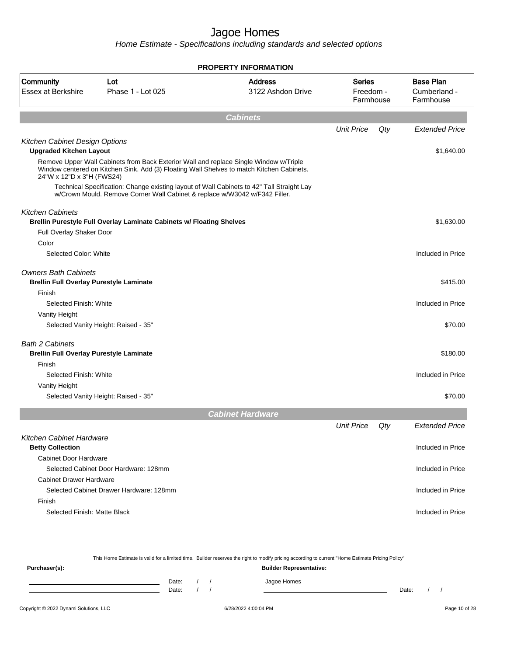|                                                                               |                                                                                                                                                                                    | <b>PROPERTY INFORMATION</b>         |                                         |     |                                               |
|-------------------------------------------------------------------------------|------------------------------------------------------------------------------------------------------------------------------------------------------------------------------------|-------------------------------------|-----------------------------------------|-----|-----------------------------------------------|
| Community<br><b>Essex at Berkshire</b>                                        | Lot<br>Phase 1 - Lot 025                                                                                                                                                           | <b>Address</b><br>3122 Ashdon Drive | <b>Series</b><br>Freedom -<br>Farmhouse |     | <b>Base Plan</b><br>Cumberland -<br>Farmhouse |
|                                                                               |                                                                                                                                                                                    | <b>Cabinets</b>                     |                                         |     |                                               |
|                                                                               |                                                                                                                                                                                    |                                     | <b>Unit Price</b>                       | Qty | <b>Extended Price</b>                         |
| Kitchen Cabinet Design Options                                                |                                                                                                                                                                                    |                                     |                                         |     |                                               |
| <b>Upgraded Kitchen Layout</b>                                                |                                                                                                                                                                                    |                                     |                                         |     | \$1,640.00                                    |
| 24"W x 12"D x 3"H (FWS24)                                                     | Remove Upper Wall Cabinets from Back Exterior Wall and replace Single Window w/Triple<br>Window centered on Kitchen Sink. Add (3) Floating Wall Shelves to match Kitchen Cabinets. |                                     |                                         |     |                                               |
|                                                                               | Technical Specification: Change existing layout of Wall Cabinets to 42" Tall Straight Lay<br>w/Crown Mould. Remove Corner Wall Cabinet & replace w/W3042 w/F342 Filler.            |                                     |                                         |     |                                               |
| <b>Kitchen Cabinets</b>                                                       |                                                                                                                                                                                    |                                     |                                         |     |                                               |
|                                                                               | Brellin Purestyle Full Overlay Laminate Cabinets w/ Floating Shelves                                                                                                               |                                     |                                         |     | \$1,630.00                                    |
| Full Overlay Shaker Door                                                      |                                                                                                                                                                                    |                                     |                                         |     |                                               |
| Color                                                                         |                                                                                                                                                                                    |                                     |                                         |     |                                               |
| Selected Color: White                                                         |                                                                                                                                                                                    |                                     |                                         |     | Included in Price                             |
| <b>Owners Bath Cabinets</b><br><b>Brellin Full Overlay Purestyle Laminate</b> |                                                                                                                                                                                    |                                     |                                         |     | \$415.00                                      |
| Finish                                                                        |                                                                                                                                                                                    |                                     |                                         |     |                                               |
| Selected Finish: White                                                        |                                                                                                                                                                                    |                                     |                                         |     | Included in Price                             |
| Vanity Height                                                                 |                                                                                                                                                                                    |                                     |                                         |     |                                               |
|                                                                               | Selected Vanity Height: Raised - 35"                                                                                                                                               |                                     |                                         |     | \$70.00                                       |
| <b>Bath 2 Cabinets</b>                                                        |                                                                                                                                                                                    |                                     |                                         |     |                                               |
| <b>Brellin Full Overlay Purestyle Laminate</b>                                |                                                                                                                                                                                    |                                     |                                         |     | \$180.00                                      |
| Finish                                                                        |                                                                                                                                                                                    |                                     |                                         |     |                                               |
| Selected Finish: White                                                        |                                                                                                                                                                                    |                                     |                                         |     | Included in Price                             |
| Vanity Height                                                                 |                                                                                                                                                                                    |                                     |                                         |     |                                               |
|                                                                               | Selected Vanity Height: Raised - 35"                                                                                                                                               |                                     |                                         |     | \$70.00                                       |
|                                                                               |                                                                                                                                                                                    | <b>Cabinet Hardware</b>             |                                         |     |                                               |
|                                                                               |                                                                                                                                                                                    |                                     | <b>Unit Price</b>                       | Qty | <b>Extended Price</b>                         |
| Kitchen Cabinet Hardware                                                      |                                                                                                                                                                                    |                                     |                                         |     |                                               |
| <b>Betty Collection</b>                                                       |                                                                                                                                                                                    |                                     |                                         |     | Included in Price                             |
| <b>Cabinet Door Hardware</b>                                                  |                                                                                                                                                                                    |                                     |                                         |     |                                               |
|                                                                               | Selected Cabinet Door Hardware: 128mm                                                                                                                                              |                                     |                                         |     | Included in Price                             |
| <b>Cabinet Drawer Hardware</b>                                                |                                                                                                                                                                                    |                                     |                                         |     |                                               |
|                                                                               | Selected Cabinet Drawer Hardware: 128mm                                                                                                                                            |                                     |                                         |     | Included in Price                             |
| Finish                                                                        |                                                                                                                                                                                    |                                     |                                         |     |                                               |
| Selected Finish: Matte Black                                                  |                                                                                                                                                                                    |                                     |                                         |     | Included in Price                             |
|                                                                               |                                                                                                                                                                                    |                                     |                                         |     |                                               |

|               |       |  | This Home Estimate is valid for a limited time. Builder reserves the right to modify pricing according to current "Home Estimate Pricing Policy" |       |  |
|---------------|-------|--|--------------------------------------------------------------------------------------------------------------------------------------------------|-------|--|
| Purchaser(s): |       |  | <b>Builder Representative:</b>                                                                                                                   |       |  |
|               | Date: |  | Jagoe Homes                                                                                                                                      |       |  |
|               | Date: |  |                                                                                                                                                  | Date: |  |
|               |       |  |                                                                                                                                                  |       |  |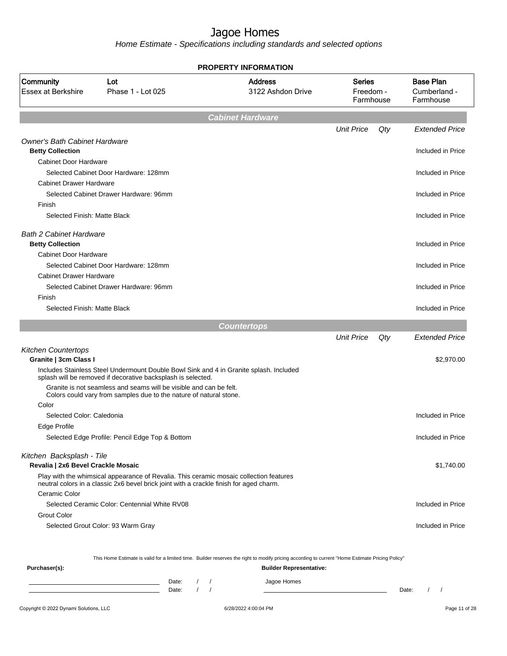Home Estimate - Specifications including standards and selected options

|                                        |                                                                                                                                                                                   | <b>PROPERTY INFORMATION</b>         |                                         |     |                                               |
|----------------------------------------|-----------------------------------------------------------------------------------------------------------------------------------------------------------------------------------|-------------------------------------|-----------------------------------------|-----|-----------------------------------------------|
| Community<br><b>Essex at Berkshire</b> | Lot<br>Phase 1 - Lot 025                                                                                                                                                          | <b>Address</b><br>3122 Ashdon Drive | <b>Series</b><br>Freedom -<br>Farmhouse |     | <b>Base Plan</b><br>Cumberland -<br>Farmhouse |
|                                        |                                                                                                                                                                                   | <b>Cabinet Hardware</b>             |                                         |     |                                               |
|                                        |                                                                                                                                                                                   |                                     | <b>Unit Price</b>                       | Qty | <b>Extended Price</b>                         |
| <b>Owner's Bath Cabinet Hardware</b>   |                                                                                                                                                                                   |                                     |                                         |     |                                               |
| <b>Betty Collection</b>                |                                                                                                                                                                                   |                                     |                                         |     | Included in Price                             |
| <b>Cabinet Door Hardware</b>           |                                                                                                                                                                                   |                                     |                                         |     |                                               |
|                                        | Selected Cabinet Door Hardware: 128mm                                                                                                                                             |                                     |                                         |     | Included in Price                             |
| <b>Cabinet Drawer Hardware</b>         |                                                                                                                                                                                   |                                     |                                         |     |                                               |
|                                        | Selected Cabinet Drawer Hardware: 96mm                                                                                                                                            |                                     |                                         |     | Included in Price                             |
| Finish                                 |                                                                                                                                                                                   |                                     |                                         |     |                                               |
| Selected Finish: Matte Black           |                                                                                                                                                                                   |                                     |                                         |     | Included in Price                             |
| <b>Bath 2 Cabinet Hardware</b>         |                                                                                                                                                                                   |                                     |                                         |     |                                               |
| <b>Betty Collection</b>                |                                                                                                                                                                                   |                                     |                                         |     | Included in Price                             |
| <b>Cabinet Door Hardware</b>           |                                                                                                                                                                                   |                                     |                                         |     |                                               |
|                                        | Selected Cabinet Door Hardware: 128mm                                                                                                                                             |                                     |                                         |     | Included in Price                             |
| <b>Cabinet Drawer Hardware</b>         |                                                                                                                                                                                   |                                     |                                         |     |                                               |
|                                        | Selected Cabinet Drawer Hardware: 96mm                                                                                                                                            |                                     |                                         |     | Included in Price                             |
| Finish                                 |                                                                                                                                                                                   |                                     |                                         |     |                                               |
| Selected Finish: Matte Black           |                                                                                                                                                                                   |                                     |                                         |     | Included in Price                             |
|                                        |                                                                                                                                                                                   | <b>Countertops</b>                  |                                         |     |                                               |
|                                        |                                                                                                                                                                                   |                                     | <b>Unit Price</b>                       | Qty | Extended Price                                |
| <b>Kitchen Countertops</b>             |                                                                                                                                                                                   |                                     |                                         |     |                                               |
| Granite   3cm Class I                  |                                                                                                                                                                                   |                                     |                                         |     | \$2,970.00                                    |
|                                        | Includes Stainless Steel Undermount Double Bowl Sink and 4 in Granite splash. Included<br>splash will be removed if decorative backsplash is selected.                            |                                     |                                         |     |                                               |
|                                        | Granite is not seamless and seams will be visible and can be felt.<br>Colors could vary from samples due to the nature of natural stone.                                          |                                     |                                         |     |                                               |
| Color                                  |                                                                                                                                                                                   |                                     |                                         |     |                                               |
| Selected Color: Caledonia              |                                                                                                                                                                                   |                                     |                                         |     | Included in Price                             |
| Edge Profile                           |                                                                                                                                                                                   |                                     |                                         |     |                                               |
|                                        | Selected Edge Profile: Pencil Edge Top & Bottom                                                                                                                                   |                                     |                                         |     | Included in Price                             |
| Kitchen Backsplash - Tile              |                                                                                                                                                                                   |                                     |                                         |     |                                               |
| Revalia   2x6 Bevel Crackle Mosaic     |                                                                                                                                                                                   |                                     |                                         |     | \$1,740.00                                    |
|                                        | Play with the whimsical appearance of Revalia. This ceramic mosaic collection features<br>neutral colors in a classic 2x6 bevel brick joint with a crackle finish for aged charm. |                                     |                                         |     |                                               |
|                                        |                                                                                                                                                                                   |                                     |                                         |     |                                               |
| Ceramic Color                          |                                                                                                                                                                                   |                                     |                                         |     |                                               |
|                                        | Selected Ceramic Color: Centennial White RV08                                                                                                                                     |                                     |                                         |     |                                               |
| <b>Grout Color</b>                     |                                                                                                                                                                                   |                                     |                                         |     | Included in Price                             |

This Home Estimate is valid for a limited time. Builder reserves the right to modify pricing according to current "Home Estimate Pricing Policy"

| Purchaser(s): |                |  | <b>Builder Representative:</b> |       |  |  |
|---------------|----------------|--|--------------------------------|-------|--|--|
|               | Date:<br>Date: |  | Jagoe Homes                    | Date: |  |  |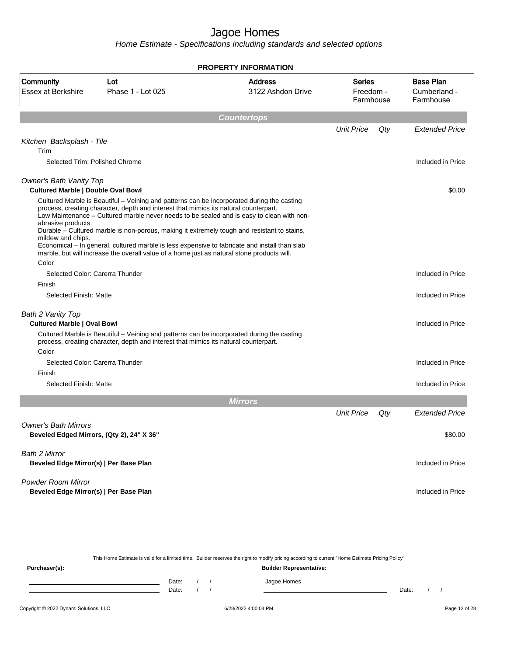Home Estimate - Specifications including standards and selected options

|                                                                                               |                                                                                                                                                                                                                                                                                                                                                                                                                                                                                                                                                                               | <b>PROPERTY INFORMATION</b>         |                                         |     |                                               |
|-----------------------------------------------------------------------------------------------|-------------------------------------------------------------------------------------------------------------------------------------------------------------------------------------------------------------------------------------------------------------------------------------------------------------------------------------------------------------------------------------------------------------------------------------------------------------------------------------------------------------------------------------------------------------------------------|-------------------------------------|-----------------------------------------|-----|-----------------------------------------------|
| Community<br><b>Essex at Berkshire</b>                                                        | Lot<br>Phase 1 - Lot 025                                                                                                                                                                                                                                                                                                                                                                                                                                                                                                                                                      | <b>Address</b><br>3122 Ashdon Drive | <b>Series</b><br>Freedom -<br>Farmhouse |     | <b>Base Plan</b><br>Cumberland -<br>Farmhouse |
|                                                                                               |                                                                                                                                                                                                                                                                                                                                                                                                                                                                                                                                                                               | <b>Countertops</b>                  |                                         |     |                                               |
|                                                                                               |                                                                                                                                                                                                                                                                                                                                                                                                                                                                                                                                                                               |                                     | <b>Unit Price</b>                       | Qty | <b>Extended Price</b>                         |
| Kitchen Backsplash - Tile                                                                     |                                                                                                                                                                                                                                                                                                                                                                                                                                                                                                                                                                               |                                     |                                         |     |                                               |
| Trim                                                                                          | Selected Trim: Polished Chrome                                                                                                                                                                                                                                                                                                                                                                                                                                                                                                                                                |                                     |                                         |     | Included in Price                             |
|                                                                                               |                                                                                                                                                                                                                                                                                                                                                                                                                                                                                                                                                                               |                                     |                                         |     |                                               |
| Owner's Bath Vanity Top                                                                       |                                                                                                                                                                                                                                                                                                                                                                                                                                                                                                                                                                               |                                     |                                         |     |                                               |
| <b>Cultured Marble   Double Oval Bowl</b><br>abrasive products.<br>mildew and chips.<br>Color | Cultured Marble is Beautiful - Veining and patterns can be incorporated during the casting<br>process, creating character, depth and interest that mimics its natural counterpart.<br>Low Maintenance - Cultured marble never needs to be sealed and is easy to clean with non-<br>Durable – Cultured marble is non-porous, making it extremely tough and resistant to stains,<br>Economical - In general, cultured marble is less expensive to fabricate and install than slab<br>marble, but will increase the overall value of a home just as natural stone products will. |                                     |                                         |     | \$0.00                                        |
|                                                                                               | Selected Color: Carerra Thunder                                                                                                                                                                                                                                                                                                                                                                                                                                                                                                                                               |                                     |                                         |     | Included in Price                             |
| Finish                                                                                        |                                                                                                                                                                                                                                                                                                                                                                                                                                                                                                                                                                               |                                     |                                         |     |                                               |
| Selected Finish: Matte                                                                        |                                                                                                                                                                                                                                                                                                                                                                                                                                                                                                                                                                               |                                     |                                         |     | Included in Price                             |
| Bath 2 Vanity Top<br><b>Cultured Marble   Oval Bowl</b>                                       | Cultured Marble is Beautiful – Veining and patterns can be incorporated during the casting<br>process, creating character, depth and interest that mimics its natural counterpart.                                                                                                                                                                                                                                                                                                                                                                                            |                                     |                                         |     | Included in Price                             |
| Color                                                                                         | Selected Color: Carerra Thunder                                                                                                                                                                                                                                                                                                                                                                                                                                                                                                                                               |                                     |                                         |     | Included in Price                             |
| Finish                                                                                        |                                                                                                                                                                                                                                                                                                                                                                                                                                                                                                                                                                               |                                     |                                         |     |                                               |
| Selected Finish: Matte                                                                        |                                                                                                                                                                                                                                                                                                                                                                                                                                                                                                                                                                               |                                     |                                         |     | Included in Price                             |
|                                                                                               |                                                                                                                                                                                                                                                                                                                                                                                                                                                                                                                                                                               | <b>Mirrors</b>                      |                                         |     |                                               |
|                                                                                               |                                                                                                                                                                                                                                                                                                                                                                                                                                                                                                                                                                               |                                     | <b>Unit Price</b>                       | Qty | <b>Extended Price</b>                         |
| <b>Owner's Bath Mirrors</b>                                                                   | Beveled Edged Mirrors, (Qty 2), 24" X 36"                                                                                                                                                                                                                                                                                                                                                                                                                                                                                                                                     |                                     |                                         |     | \$80.00                                       |
| Bath 2 Mirror<br>Beveled Edge Mirror(s)   Per Base Plan                                       |                                                                                                                                                                                                                                                                                                                                                                                                                                                                                                                                                                               |                                     |                                         |     | Included in Price                             |
| <b>Powder Room Mirror</b><br>Beveled Edge Mirror(s)   Per Base Plan                           |                                                                                                                                                                                                                                                                                                                                                                                                                                                                                                                                                                               |                                     |                                         |     | Included in Price                             |
|                                                                                               |                                                                                                                                                                                                                                                                                                                                                                                                                                                                                                                                                                               |                                     |                                         |     |                                               |

This Home Estimate is valid for a limited time. Builder reserves the right to modify pricing according to current "Home Estimate Pricing Policy"

**Purchaser(s): Builder Representative:** Date: / / Jagoe Homes<br>Date: / / Jagoe Homes Date: / / **Date: / / 2006** Date: / / / Date: / / /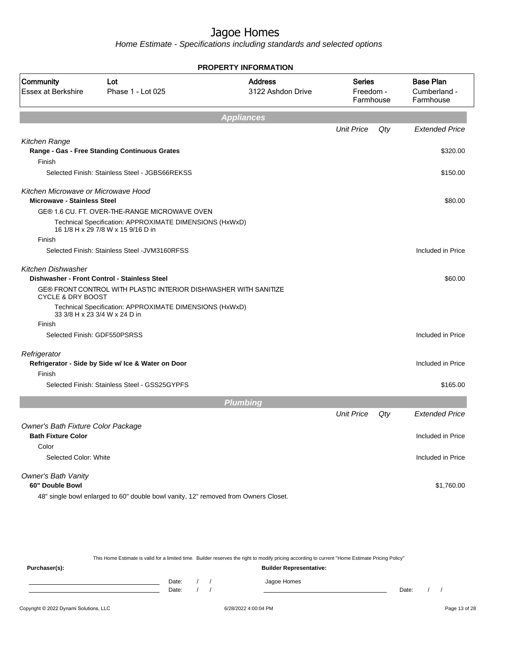Home Estimate - Specifications including standards and selected options

|                                                                           |                                                                                               | <b>PROPERTY INFORMATION</b>         |                                         |     |                                               |
|---------------------------------------------------------------------------|-----------------------------------------------------------------------------------------------|-------------------------------------|-----------------------------------------|-----|-----------------------------------------------|
| Community<br><b>Essex at Berkshire</b>                                    | Lot<br>Phase 1 - Lot 025                                                                      | <b>Address</b><br>3122 Ashdon Drive | <b>Series</b><br>Freedom -<br>Farmhouse |     | <b>Base Plan</b><br>Cumberland -<br>Farmhouse |
|                                                                           |                                                                                               | <b>Appliances</b>                   |                                         |     |                                               |
|                                                                           |                                                                                               |                                     | <b>Unit Price</b>                       | Qty | <b>Extended Price</b>                         |
| Kitchen Range                                                             |                                                                                               |                                     |                                         |     |                                               |
| Finish                                                                    | Range - Gas - Free Standing Continuous Grates                                                 |                                     |                                         |     | \$320.00                                      |
|                                                                           | Selected Finish: Stainless Steel - JGBS66REKSS                                                |                                     |                                         |     | \$150.00                                      |
| Kitchen Microwave or Microwave Hood<br><b>Microwave - Stainless Steel</b> |                                                                                               |                                     |                                         |     | \$80.00                                       |
|                                                                           | GE® 1.6 CU. FT. OVER-THE-RANGE MICROWAVE OVEN                                                 |                                     |                                         |     |                                               |
|                                                                           | Technical Specification: APPROXIMATE DIMENSIONS (HxWxD)<br>16 1/8 H x 29 7/8 W x 15 9/16 D in |                                     |                                         |     |                                               |
| Finish                                                                    |                                                                                               |                                     |                                         |     |                                               |
|                                                                           | Selected Finish: Stainless Steel - JVM3160RFSS                                                |                                     |                                         |     | Included in Price                             |
| <b>Kitchen Dishwasher</b>                                                 | Dishwasher - Front Control - Stainless Steel                                                  |                                     |                                         |     | \$60.00                                       |
| <b>CYCLE &amp; DRY BOOST</b>                                              | GE® FRONT CONTROL WITH PLASTIC INTERIOR DISHWASHER WITH SANITIZE                              |                                     |                                         |     |                                               |
|                                                                           | Technical Specification: APPROXIMATE DIMENSIONS (HxWxD)<br>33 3/8 H x 23 3/4 W x 24 D in      |                                     |                                         |     |                                               |
| Finish                                                                    |                                                                                               |                                     |                                         |     |                                               |
|                                                                           | Selected Finish: GDF550PSRSS                                                                  |                                     |                                         |     | Included in Price                             |
| Refrigerator                                                              | Refrigerator - Side by Side w/ Ice & Water on Door                                            |                                     |                                         |     | Included in Price                             |
| Finish                                                                    |                                                                                               |                                     |                                         |     |                                               |
|                                                                           | Selected Finish: Stainless Steel - GSS25GYPFS                                                 |                                     |                                         |     | \$165.00                                      |
|                                                                           |                                                                                               | <b>Plumbing</b>                     |                                         |     |                                               |
|                                                                           |                                                                                               |                                     | <b>Unit Price</b>                       | Qty | <b>Extended Price</b>                         |
| Owner's Bath Fixture Color Package<br><b>Bath Fixture Color</b>           |                                                                                               |                                     |                                         |     | Included in Price                             |
| Color                                                                     |                                                                                               |                                     |                                         |     |                                               |
| Selected Color: White                                                     |                                                                                               |                                     |                                         |     | Included in Price                             |
| Owner's Bath Vanity                                                       |                                                                                               |                                     |                                         |     |                                               |
| 60" Double Bowl                                                           |                                                                                               |                                     |                                         |     | \$1,760.00                                    |
|                                                                           | 48" single bowl enlarged to 60" double bowl vanity, 12" removed from Owners Closet.           |                                     |                                         |     |                                               |

This Home Estimate is valid for a limited time. Builder reserves the right to modify pricing according to current "Home Estimate Pricing Policy"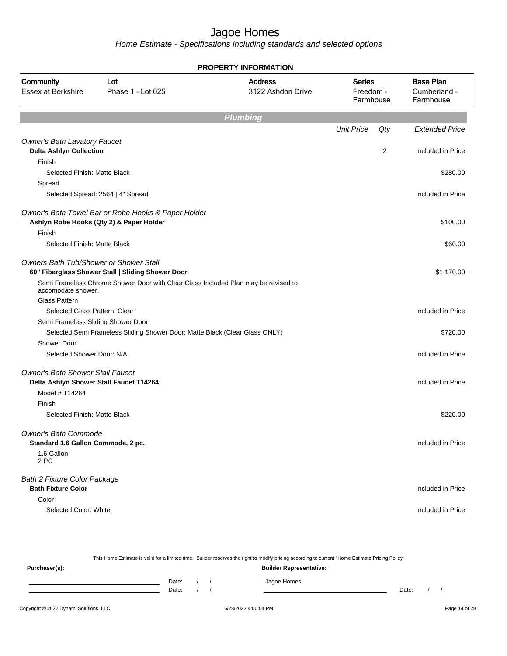|                                         |                                                                                    | <b>PROPERTY INFORMATION</b>         |                                         |     |                                               |
|-----------------------------------------|------------------------------------------------------------------------------------|-------------------------------------|-----------------------------------------|-----|-----------------------------------------------|
| Community<br><b>Essex at Berkshire</b>  | Lot<br>Phase 1 - Lot 025                                                           | <b>Address</b><br>3122 Ashdon Drive | <b>Series</b><br>Freedom -<br>Farmhouse |     | <b>Base Plan</b><br>Cumberland -<br>Farmhouse |
|                                         |                                                                                    | <b>Plumbing</b>                     |                                         |     |                                               |
|                                         |                                                                                    |                                     | <b>Unit Price</b>                       | Qty | <b>Extended Price</b>                         |
| <b>Owner's Bath Lavatory Faucet</b>     |                                                                                    |                                     |                                         |     |                                               |
| <b>Delta Ashlyn Collection</b>          |                                                                                    |                                     |                                         | 2   | Included in Price                             |
| Finish                                  |                                                                                    |                                     |                                         |     |                                               |
| Selected Finish: Matte Black            |                                                                                    |                                     |                                         |     | \$280.00                                      |
| Spread                                  |                                                                                    |                                     |                                         |     |                                               |
|                                         | Selected Spread: 2564   4" Spread                                                  |                                     |                                         |     | Included in Price                             |
|                                         | Owner's Bath Towel Bar or Robe Hooks & Paper Holder                                |                                     |                                         |     |                                               |
|                                         | Ashlyn Robe Hooks (Qty 2) & Paper Holder                                           |                                     |                                         |     | \$100.00                                      |
| Finish                                  |                                                                                    |                                     |                                         |     |                                               |
| Selected Finish: Matte Black            |                                                                                    |                                     |                                         |     | \$60.00                                       |
| Owners Bath Tub/Shower or Shower Stall  |                                                                                    |                                     |                                         |     |                                               |
|                                         | 60" Fiberglass Shower Stall   Sliding Shower Door                                  |                                     |                                         |     | \$1,170.00                                    |
| accomodate shower.                      | Semi Frameless Chrome Shower Door with Clear Glass Included Plan may be revised to |                                     |                                         |     |                                               |
| <b>Glass Pattern</b>                    |                                                                                    |                                     |                                         |     |                                               |
| Selected Glass Pattern: Clear           |                                                                                    |                                     |                                         |     | Included in Price                             |
| Semi Frameless Sliding Shower Door      |                                                                                    |                                     |                                         |     |                                               |
|                                         | Selected Semi Frameless Sliding Shower Door: Matte Black (Clear Glass ONLY)        |                                     |                                         |     | \$720.00                                      |
| Shower Door                             |                                                                                    |                                     |                                         |     |                                               |
| Selected Shower Door: N/A               |                                                                                    |                                     |                                         |     | Included in Price                             |
| <b>Owner's Bath Shower Stall Faucet</b> |                                                                                    |                                     |                                         |     |                                               |
| Delta Ashlyn Shower Stall Faucet T14264 |                                                                                    |                                     |                                         |     | Included in Price                             |
| Model # T14264                          |                                                                                    |                                     |                                         |     |                                               |
| Finish                                  |                                                                                    |                                     |                                         |     |                                               |
| Selected Finish: Matte Black            |                                                                                    |                                     |                                         |     | \$220.00                                      |
| Owner's Bath Commode                    |                                                                                    |                                     |                                         |     |                                               |
| Standard 1.6 Gallon Commode, 2 pc.      |                                                                                    |                                     |                                         |     | Included in Price                             |
| 1.6 Gallon                              |                                                                                    |                                     |                                         |     |                                               |
| 2 PC                                    |                                                                                    |                                     |                                         |     |                                               |
| <b>Bath 2 Fixture Color Package</b>     |                                                                                    |                                     |                                         |     |                                               |
| <b>Bath Fixture Color</b>               |                                                                                    |                                     |                                         |     | Included in Price                             |
| Color                                   |                                                                                    |                                     |                                         |     |                                               |
| Selected Color: White                   |                                                                                    |                                     |                                         |     | Included in Price                             |
|                                         |                                                                                    |                                     |                                         |     |                                               |

| This Home Estimate is valid for a limited time. Builder reserves the right to modify pricing according to current "Home Estimate Pricing Policy" |       |  |  |                                |       |  |  |
|--------------------------------------------------------------------------------------------------------------------------------------------------|-------|--|--|--------------------------------|-------|--|--|
| Purchaser(s):                                                                                                                                    |       |  |  | <b>Builder Representative:</b> |       |  |  |
|                                                                                                                                                  | Date: |  |  | Jagoe Homes                    |       |  |  |
|                                                                                                                                                  | Date: |  |  |                                | Date: |  |  |
|                                                                                                                                                  |       |  |  |                                |       |  |  |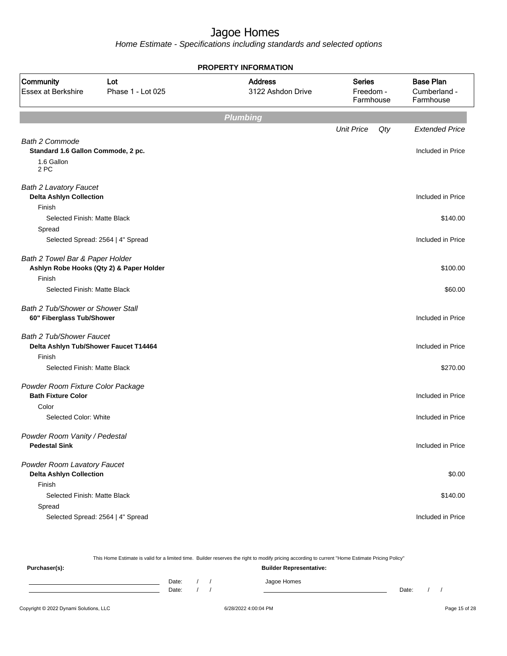Home Estimate - Specifications including standards and selected options

|                                                                          |                                          | <b>PROPERTY INFORMATION</b>         |                                         |                                               |
|--------------------------------------------------------------------------|------------------------------------------|-------------------------------------|-----------------------------------------|-----------------------------------------------|
| Community<br>Essex at Berkshire                                          | Lot<br>Phase 1 - Lot 025                 | <b>Address</b><br>3122 Ashdon Drive | <b>Series</b><br>Freedom -<br>Farmhouse | <b>Base Plan</b><br>Cumberland -<br>Farmhouse |
|                                                                          |                                          | <b>Plumbing</b>                     |                                         |                                               |
|                                                                          |                                          |                                     | <b>Unit Price</b><br>Qty                | <b>Extended Price</b>                         |
| Bath 2 Commode                                                           |                                          |                                     |                                         |                                               |
| Standard 1.6 Gallon Commode, 2 pc.                                       |                                          |                                     |                                         | Included in Price                             |
| 1.6 Gallon<br>2 PC                                                       |                                          |                                     |                                         |                                               |
| <b>Bath 2 Lavatory Faucet</b><br><b>Delta Ashlyn Collection</b>          |                                          |                                     |                                         | Included in Price                             |
| Finish                                                                   |                                          |                                     |                                         |                                               |
| Selected Finish: Matte Black                                             |                                          |                                     |                                         | \$140.00                                      |
| Spread                                                                   |                                          |                                     |                                         |                                               |
|                                                                          | Selected Spread: 2564   4" Spread        |                                     |                                         | Included in Price                             |
| Bath 2 Towel Bar & Paper Holder                                          | Ashlyn Robe Hooks (Qty 2) & Paper Holder |                                     |                                         | \$100.00                                      |
| Finish                                                                   |                                          |                                     |                                         |                                               |
| Selected Finish: Matte Black                                             |                                          |                                     |                                         | \$60.00                                       |
| Bath 2 Tub/Shower or Shower Stall<br>60" Fiberglass Tub/Shower           |                                          |                                     |                                         | Included in Price                             |
| <b>Bath 2 Tub/Shower Faucet</b><br>Delta Ashlyn Tub/Shower Faucet T14464 |                                          |                                     |                                         | Included in Price                             |
| Finish                                                                   |                                          |                                     |                                         |                                               |
| Selected Finish: Matte Black                                             |                                          |                                     |                                         | \$270.00                                      |
| Powder Room Fixture Color Package<br><b>Bath Fixture Color</b>           |                                          |                                     |                                         | Included in Price                             |
| Color                                                                    |                                          |                                     |                                         |                                               |
| Selected Color: White                                                    |                                          |                                     |                                         | Included in Price                             |
| Powder Room Vanity / Pedestal<br><b>Pedestal Sink</b>                    |                                          |                                     |                                         | Included in Price                             |
| Powder Room Lavatory Faucet<br><b>Delta Ashlyn Collection</b>            |                                          |                                     |                                         | \$0.00                                        |
| Finish                                                                   |                                          |                                     |                                         |                                               |
| Selected Finish: Matte Black                                             |                                          |                                     |                                         | \$140.00                                      |
| Spread                                                                   |                                          |                                     |                                         |                                               |
|                                                                          | Selected Spread: 2564   4" Spread        |                                     |                                         | Included in Price                             |

This Home Estimate is valid for a limited time. Builder reserves the right to modify pricing according to current "Home Estimate Pricing Policy" **Purchaser(s): Builder Representative:** Date: / / Jagoe Homes<br>Date: / / Jagoe Homes Date: / / Date: / /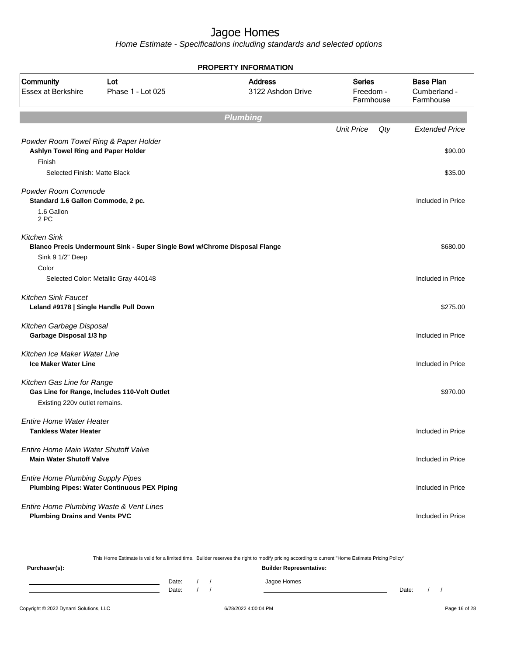|                                                                                       |                                                                            | <b>PROPERTY INFORMATION</b>         |                                         |                                               |
|---------------------------------------------------------------------------------------|----------------------------------------------------------------------------|-------------------------------------|-----------------------------------------|-----------------------------------------------|
| Community<br>Essex at Berkshire                                                       | Lot<br>Phase 1 - Lot 025                                                   | <b>Address</b><br>3122 Ashdon Drive | <b>Series</b><br>Freedom -<br>Farmhouse | <b>Base Plan</b><br>Cumberland -<br>Farmhouse |
|                                                                                       |                                                                            | <b>Plumbing</b>                     |                                         |                                               |
|                                                                                       |                                                                            |                                     | <b>Unit Price</b><br>Qty                | <b>Extended Price</b>                         |
| Powder Room Towel Ring & Paper Holder<br>Ashlyn Towel Ring and Paper Holder<br>Finish |                                                                            |                                     |                                         | \$90.00                                       |
| Selected Finish: Matte Black                                                          |                                                                            |                                     |                                         | \$35.00                                       |
| Powder Room Commode<br>Standard 1.6 Gallon Commode, 2 pc.                             |                                                                            |                                     |                                         | Included in Price                             |
| 1.6 Gallon<br>2 PC                                                                    |                                                                            |                                     |                                         |                                               |
| <b>Kitchen Sink</b><br>Sink 9 1/2" Deep                                               | Blanco Precis Undermount Sink - Super Single Bowl w/Chrome Disposal Flange |                                     |                                         | \$680.00                                      |
| Color                                                                                 | Selected Color: Metallic Gray 440148                                       |                                     |                                         | Included in Price                             |
| <b>Kitchen Sink Faucet</b><br>Leland #9178   Single Handle Pull Down                  |                                                                            |                                     |                                         | \$275.00                                      |
| Kitchen Garbage Disposal<br>Garbage Disposal 1/3 hp                                   |                                                                            |                                     |                                         | Included in Price                             |
| Kitchen Ice Maker Water Line<br><b>Ice Maker Water Line</b>                           |                                                                            |                                     |                                         | Included in Price                             |
| Kitchen Gas Line for Range<br>Existing 220v outlet remains.                           | Gas Line for Range, Includes 110-Volt Outlet                               |                                     |                                         | \$970.00                                      |
| <b>Entire Home Water Heater</b><br><b>Tankless Water Heater</b>                       |                                                                            |                                     |                                         | Included in Price                             |
| Entire Home Main Water Shutoff Valve<br><b>Main Water Shutoff Valve</b>               |                                                                            |                                     |                                         | Included in Price                             |
| <b>Entire Home Plumbing Supply Pipes</b>                                              | <b>Plumbing Pipes: Water Continuous PEX Piping</b>                         |                                     |                                         | Included in Price                             |
| Entire Home Plumbing Waste & Vent Lines<br><b>Plumbing Drains and Vents PVC</b>       |                                                                            |                                     |                                         | Included in Price                             |

|               |  | This Home Estimate is valid for a limited time. Builder reserves the right to modify pricing according to current "Home Estimate Pricing Policy" |  |                                |       |  |  |
|---------------|--|--------------------------------------------------------------------------------------------------------------------------------------------------|--|--------------------------------|-------|--|--|
| Purchaser(s): |  |                                                                                                                                                  |  | <b>Builder Representative:</b> |       |  |  |
|               |  | Date:                                                                                                                                            |  | Jagoe Homes                    |       |  |  |
|               |  | Date:                                                                                                                                            |  |                                | Date: |  |  |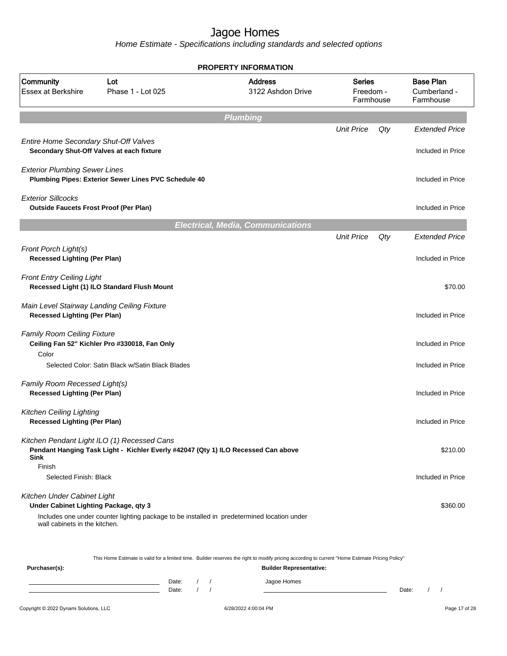Home Estimate - Specifications including standards and selected options

|                                                                                                       |                                                                                             | <b>PROPERTY INFORMATION</b>              |                                  |     |                                               |
|-------------------------------------------------------------------------------------------------------|---------------------------------------------------------------------------------------------|------------------------------------------|----------------------------------|-----|-----------------------------------------------|
| Community<br><b>Essex at Berkshire</b>                                                                | Lot<br>Phase 1 - Lot 025                                                                    | <b>Address</b><br>3122 Ashdon Drive      | Series<br>Freedom -<br>Farmhouse |     | <b>Base Plan</b><br>Cumberland -<br>Farmhouse |
|                                                                                                       |                                                                                             | <b>Plumbing</b>                          |                                  |     |                                               |
|                                                                                                       |                                                                                             |                                          | <b>Unit Price</b>                | Qty | <b>Extended Price</b>                         |
| Entire Home Secondary Shut-Off Valves<br>Secondary Shut-Off Valves at each fixture                    |                                                                                             |                                          |                                  |     | Included in Price                             |
| <b>Exterior Plumbing Sewer Lines</b>                                                                  | Plumbing Pipes: Exterior Sewer Lines PVC Schedule 40                                        |                                          |                                  |     | Included in Price                             |
| <b>Exterior Sillcocks</b><br><b>Outside Faucets Frost Proof (Per Plan)</b>                            |                                                                                             |                                          |                                  |     | Included in Price                             |
|                                                                                                       |                                                                                             | <b>Electrical, Media, Communications</b> |                                  |     |                                               |
|                                                                                                       |                                                                                             |                                          | <b>Unit Price</b>                | Qty | <b>Extended Price</b>                         |
| Front Porch Light(s)<br><b>Recessed Lighting (Per Plan)</b>                                           |                                                                                             |                                          |                                  |     | Included in Price                             |
| <b>Front Entry Ceiling Light</b>                                                                      | Recessed Light (1) ILO Standard Flush Mount                                                 |                                          |                                  |     | \$70.00                                       |
| Main Level Stairway Landing Ceiling Fixture<br><b>Recessed Lighting (Per Plan)</b>                    |                                                                                             |                                          |                                  |     | Included in Price                             |
| <b>Family Room Ceiling Fixture</b><br>Color                                                           | Ceiling Fan 52" Kichler Pro #330018, Fan Only                                               |                                          |                                  |     | Included in Price                             |
|                                                                                                       | Selected Color: Satin Black w/Satin Black Blades                                            |                                          |                                  |     | Included in Price                             |
| Family Room Recessed Light(s)<br><b>Recessed Lighting (Per Plan)</b>                                  |                                                                                             |                                          |                                  |     | Included in Price                             |
| <b>Kitchen Ceiling Lighting</b><br><b>Recessed Lighting (Per Plan)</b>                                |                                                                                             |                                          |                                  |     | Included in Price                             |
| Kitchen Pendant Light ILO (1) Recessed Cans<br>Sink                                                   | Pendant Hanging Task Light - Kichler Everly #42047 (Qty 1) ILO Recessed Can above           |                                          |                                  |     | \$210.00                                      |
| Finish<br>Selected Finish: Black                                                                      |                                                                                             |                                          |                                  |     | Included in Price                             |
| Kitchen Under Cabinet Light<br>Under Cabinet Lighting Package, qty 3<br>wall cabinets in the kitchen. | Includes one under counter lighting package to be installed in predetermined location under |                                          |                                  |     | \$360.00                                      |
|                                                                                                       |                                                                                             |                                          |                                  |     |                                               |

This Home Estimate is valid for a limited time. Builder reserves the right to modify pricing according to current "Home Estimate Pricing Policy"

| Purchaser(s): |                |  | <b>Builder Representative:</b> |       |  |
|---------------|----------------|--|--------------------------------|-------|--|
|               | Date:<br>Date: |  | Jagoe Homes                    | Date: |  |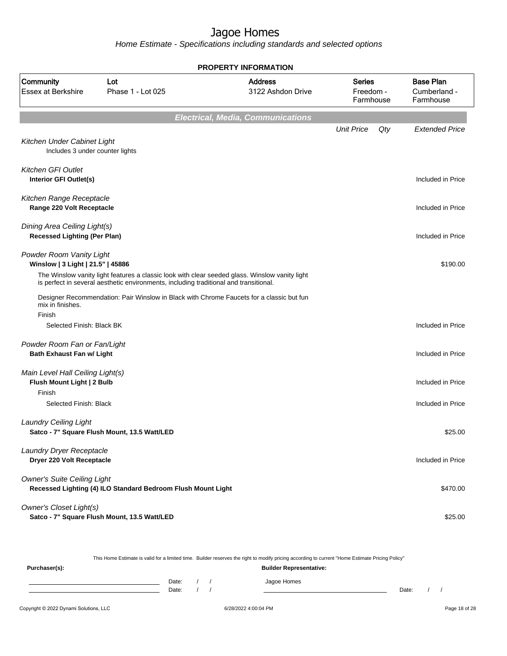Home Estimate - Specifications including standards and selected options

|                                                                     |                                                                                                                                                                                         | <b>PROPERTY INFORMATION</b>              |                                         |                                               |
|---------------------------------------------------------------------|-----------------------------------------------------------------------------------------------------------------------------------------------------------------------------------------|------------------------------------------|-----------------------------------------|-----------------------------------------------|
| Community<br><b>Essex at Berkshire</b>                              | Lot<br>Phase 1 - Lot 025                                                                                                                                                                | <b>Address</b><br>3122 Ashdon Drive      | <b>Series</b><br>Freedom -<br>Farmhouse | <b>Base Plan</b><br>Cumberland -<br>Farmhouse |
|                                                                     |                                                                                                                                                                                         | <b>Electrical, Media, Communications</b> |                                         |                                               |
|                                                                     |                                                                                                                                                                                         |                                          | <b>Unit Price</b><br>Qty                | <b>Extended Price</b>                         |
| Kitchen Under Cabinet Light<br>Includes 3 under counter lights      |                                                                                                                                                                                         |                                          |                                         |                                               |
| Kitchen GFI Outlet<br>Interior GFI Outlet(s)                        |                                                                                                                                                                                         |                                          |                                         | Included in Price                             |
| Kitchen Range Receptacle<br>Range 220 Volt Receptacle               |                                                                                                                                                                                         |                                          |                                         | Included in Price                             |
| Dining Area Ceiling Light(s)<br><b>Recessed Lighting (Per Plan)</b> |                                                                                                                                                                                         |                                          |                                         | Included in Price                             |
| Powder Room Vanity Light<br>Winslow   3 Light   21.5"   45886       |                                                                                                                                                                                         |                                          |                                         | \$190.00                                      |
|                                                                     | The Winslow vanity light features a classic look with clear seeded glass. Winslow vanity light<br>is perfect in several aesthetic environments, including traditional and transitional. |                                          |                                         |                                               |
| mix in finishes.<br>Finish                                          | Designer Recommendation: Pair Winslow in Black with Chrome Faucets for a classic but fun                                                                                                |                                          |                                         |                                               |
| Selected Finish: Black BK                                           |                                                                                                                                                                                         |                                          |                                         | Included in Price                             |
| Powder Room Fan or Fan/Light<br>Bath Exhaust Fan w/ Light           |                                                                                                                                                                                         |                                          |                                         | Included in Price                             |
| Main Level Hall Ceiling Light(s)<br>Flush Mount Light   2 Bulb      |                                                                                                                                                                                         |                                          |                                         | Included in Price                             |
| Finish<br>Selected Finish: Black                                    |                                                                                                                                                                                         |                                          |                                         | Included in Price                             |
| <b>Laundry Ceiling Light</b>                                        | Satco - 7" Square Flush Mount, 13.5 Watt/LED                                                                                                                                            |                                          |                                         | \$25.00                                       |
| Laundry Dryer Receptacle<br>Dryer 220 Volt Receptacle               |                                                                                                                                                                                         |                                          |                                         | Included in Price                             |
| <b>Owner's Suite Ceiling Light</b>                                  | Recessed Lighting (4) ILO Standard Bedroom Flush Mount Light                                                                                                                            |                                          |                                         | \$470.00                                      |
| <b>Owner's Closet Light(s)</b>                                      | Satco - 7" Square Flush Mount, 13.5 Watt/LED                                                                                                                                            |                                          |                                         | \$25.00                                       |

This Home Estimate is valid for a limited time. Builder reserves the right to modify pricing according to current "Home Estimate Pricing Policy"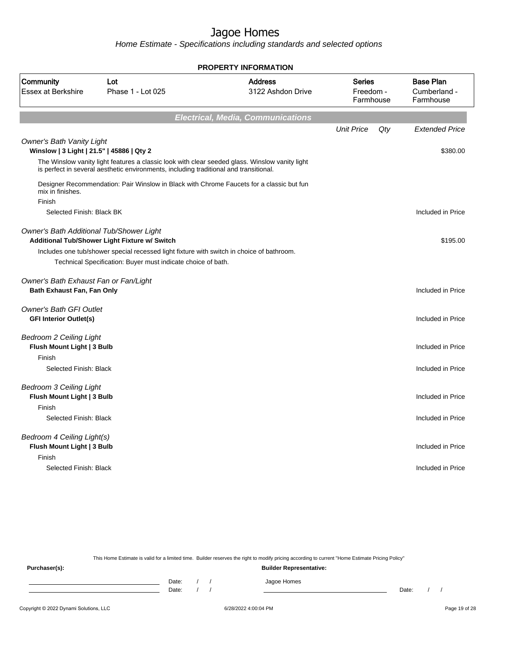Home Estimate - Specifications including standards and selected options

|                                                                               |                                                                                                                                                                                         | <b>PROPERTY INFORMATION</b>              |                                         |     |                                               |
|-------------------------------------------------------------------------------|-----------------------------------------------------------------------------------------------------------------------------------------------------------------------------------------|------------------------------------------|-----------------------------------------|-----|-----------------------------------------------|
| Community<br><b>Essex at Berkshire</b>                                        | Lot<br>Phase 1 - Lot 025                                                                                                                                                                | <b>Address</b><br>3122 Ashdon Drive      | <b>Series</b><br>Freedom -<br>Farmhouse |     | <b>Base Plan</b><br>Cumberland -<br>Farmhouse |
|                                                                               |                                                                                                                                                                                         | <b>Electrical, Media, Communications</b> |                                         |     |                                               |
|                                                                               |                                                                                                                                                                                         |                                          | <b>Unit Price</b>                       | Qty | <b>Extended Price</b>                         |
| <b>Owner's Bath Vanity Light</b><br>Winslow   3 Light   21.5"   45886   Qty 2 |                                                                                                                                                                                         |                                          |                                         |     | \$380.00                                      |
|                                                                               | The Winslow vanity light features a classic look with clear seeded glass. Winslow vanity light<br>is perfect in several aesthetic environments, including traditional and transitional. |                                          |                                         |     |                                               |
| mix in finishes.                                                              | Designer Recommendation: Pair Winslow in Black with Chrome Faucets for a classic but fun                                                                                                |                                          |                                         |     |                                               |
| Finish<br>Selected Finish: Black BK                                           |                                                                                                                                                                                         |                                          |                                         |     | Included in Price                             |
|                                                                               |                                                                                                                                                                                         |                                          |                                         |     |                                               |
| Owner's Bath Additional Tub/Shower Light                                      | Additional Tub/Shower Light Fixture w/ Switch                                                                                                                                           |                                          |                                         |     | \$195.00                                      |
|                                                                               | Includes one tub/shower special recessed light fixture with switch in choice of bathroom.<br>Technical Specification: Buyer must indicate choice of bath.                               |                                          |                                         |     |                                               |
| Owner's Bath Exhaust Fan or Fan/Light<br>Bath Exhaust Fan, Fan Only           |                                                                                                                                                                                         |                                          |                                         |     | Included in Price                             |
| <b>Owner's Bath GFI Outlet</b><br><b>GFI Interior Outlet(s)</b>               |                                                                                                                                                                                         |                                          |                                         |     | Included in Price                             |
| <b>Bedroom 2 Ceiling Light</b><br>Flush Mount Light   3 Bulb                  |                                                                                                                                                                                         |                                          |                                         |     | Included in Price                             |
| Finish                                                                        |                                                                                                                                                                                         |                                          |                                         |     |                                               |
| Selected Finish: Black                                                        |                                                                                                                                                                                         |                                          |                                         |     | Included in Price                             |
| <b>Bedroom 3 Ceiling Light</b><br>Flush Mount Light   3 Bulb                  |                                                                                                                                                                                         |                                          |                                         |     | Included in Price                             |
| Finish                                                                        |                                                                                                                                                                                         |                                          |                                         |     |                                               |
| Selected Finish: Black                                                        |                                                                                                                                                                                         |                                          |                                         |     | Included in Price                             |
| Bedroom 4 Ceiling Light(s)<br>Flush Mount Light   3 Bulb                      |                                                                                                                                                                                         |                                          |                                         |     | Included in Price                             |
| Finish<br>Selected Finish: Black                                              |                                                                                                                                                                                         |                                          |                                         |     | Included in Price                             |
|                                                                               |                                                                                                                                                                                         |                                          |                                         |     |                                               |

This Home Estimate is valid for a limited time. Builder reserves the right to modify pricing according to current "Home Estimate Pricing Policy"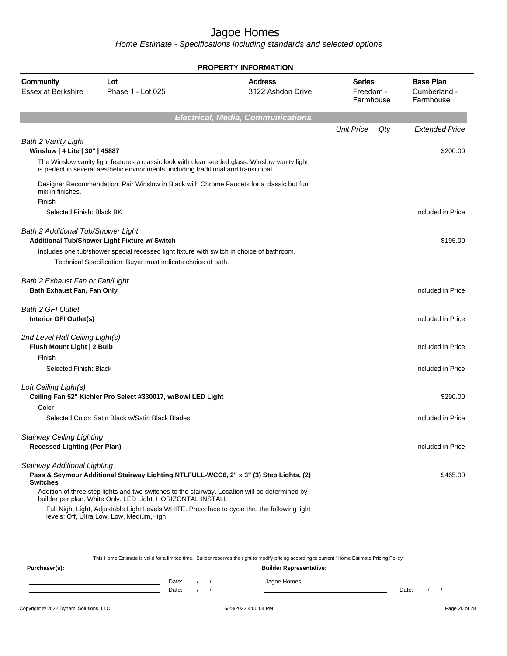Home Estimate - Specifications including standards and selected options

|                                                                         |                                                                                                          | <b>PROPERTY INFORMATION</b>                                                                                                                                                                      |                                         |     |                                               |
|-------------------------------------------------------------------------|----------------------------------------------------------------------------------------------------------|--------------------------------------------------------------------------------------------------------------------------------------------------------------------------------------------------|-----------------------------------------|-----|-----------------------------------------------|
| Community<br><b>Essex at Berkshire</b>                                  | Lot<br>Phase 1 - 1 ot 025                                                                                | <b>Address</b><br>3122 Ashdon Drive                                                                                                                                                              | <b>Series</b><br>Freedom -<br>Farmhouse |     | <b>Base Plan</b><br>Cumberland -<br>Farmhouse |
|                                                                         |                                                                                                          | <b>Electrical, Media, Communications</b>                                                                                                                                                         |                                         |     |                                               |
|                                                                         |                                                                                                          |                                                                                                                                                                                                  | <b>Unit Price</b>                       | Qty | <b>Extended Price</b>                         |
| <b>Bath 2 Vanity Light</b><br>Winslow   4 Lite   30"   45887            |                                                                                                          |                                                                                                                                                                                                  |                                         |     | \$200.00                                      |
|                                                                         | is perfect in several aesthetic environments, including traditional and transitional.                    | The Winslow vanity light features a classic look with clear seeded glass. Winslow vanity light                                                                                                   |                                         |     |                                               |
| mix in finishes.<br>Finish                                              |                                                                                                          | Designer Recommendation: Pair Winslow in Black with Chrome Faucets for a classic but fun                                                                                                         |                                         |     |                                               |
| Selected Finish: Black BK                                               |                                                                                                          |                                                                                                                                                                                                  |                                         |     | Included in Price                             |
| <b>Bath 2 Additional Tub/Shower Light</b>                               | Additional Tub/Shower Light Fixture w/ Switch                                                            |                                                                                                                                                                                                  |                                         |     | \$195.00                                      |
|                                                                         | Includes one tub/shower special recessed light fixture with switch in choice of bathroom.                |                                                                                                                                                                                                  |                                         |     |                                               |
|                                                                         | Technical Specification: Buyer must indicate choice of bath.                                             |                                                                                                                                                                                                  |                                         |     |                                               |
| Bath 2 Exhaust Fan or Fan/Light<br>Bath Exhaust Fan, Fan Only           |                                                                                                          |                                                                                                                                                                                                  |                                         |     | Included in Price                             |
| <b>Bath 2 GFI Outlet</b><br>Interior GFI Outlet(s)                      |                                                                                                          |                                                                                                                                                                                                  |                                         |     | Included in Price                             |
| 2nd Level Hall Ceiling Light(s)<br>Flush Mount Light   2 Bulb           |                                                                                                          |                                                                                                                                                                                                  |                                         |     | Included in Price                             |
| Finish<br>Selected Finish: Black                                        |                                                                                                          |                                                                                                                                                                                                  |                                         |     | Included in Price                             |
| Loft Ceiling Light(s)                                                   | Ceiling Fan 52" Kichler Pro Select #330017, w/Bowl LED Light                                             |                                                                                                                                                                                                  |                                         |     | \$290.00                                      |
| Color                                                                   | Selected Color: Satin Black w/Satin Black Blades                                                         |                                                                                                                                                                                                  |                                         |     | Included in Price                             |
| <b>Stairway Ceiling Lighting</b><br><b>Recessed Lighting (Per Plan)</b> |                                                                                                          |                                                                                                                                                                                                  |                                         |     | Included in Price                             |
|                                                                         |                                                                                                          |                                                                                                                                                                                                  |                                         |     |                                               |
| Stairway Additional Lighting<br><b>Switches</b>                         |                                                                                                          | Pass & Seymour Additional Stairway Lighting, NTLFULL-WCC6, 2" x 3" (3) Step Lights, (2)                                                                                                          |                                         |     | \$465.00                                      |
|                                                                         | builder per plan. White Only. LED Light. HORIZONTAL INSTALL<br>levels: Off, Ultra Low, Low, Medium, High | Addition of three step lights and two switches to the stairway. Location will be determined by<br>Full Night Light, Adjustable Light Levels. WHITE. Press face to cycle thru the following light |                                         |     |                                               |

This Home Estimate is valid for a limited time. Builder reserves the right to modify pricing according to current "Home Estimate Pricing Policy" **Purchaser(s): Builder Representative:**

| Date: |  | ، صصحا<br>ורזר<br>. |       |  |
|-------|--|---------------------|-------|--|
| Date: |  |                     | Date: |  |
|       |  |                     |       |  |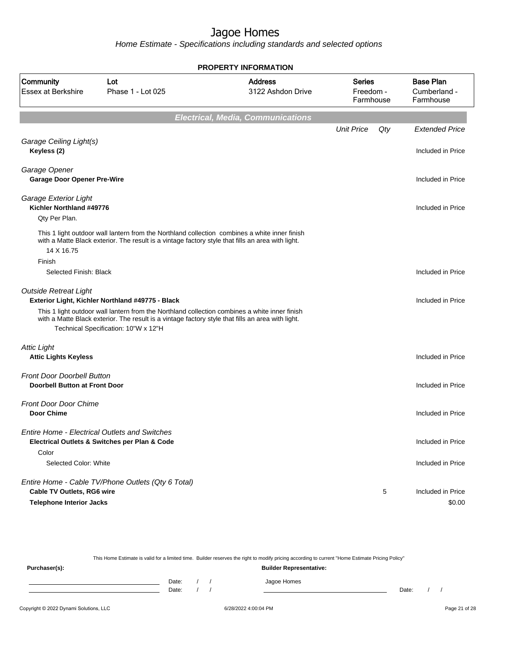Home Estimate - Specifications including standards and selected options

|                                                                           |                                                                                                                                                                                                                                                                                                | <b>PROPERTY INFORMATION</b>              |                                  |     |                                               |
|---------------------------------------------------------------------------|------------------------------------------------------------------------------------------------------------------------------------------------------------------------------------------------------------------------------------------------------------------------------------------------|------------------------------------------|----------------------------------|-----|-----------------------------------------------|
| <b>Community</b><br><b>Essex at Berkshire</b>                             | Lot<br>Phase 1 - Lot 025                                                                                                                                                                                                                                                                       | <b>Address</b><br>3122 Ashdon Drive      | Series<br>Freedom -<br>Farmhouse |     | <b>Base Plan</b><br>Cumberland -<br>Farmhouse |
|                                                                           |                                                                                                                                                                                                                                                                                                | <b>Electrical, Media, Communications</b> |                                  |     |                                               |
|                                                                           |                                                                                                                                                                                                                                                                                                |                                          | <b>Unit Price</b>                | Qty | <b>Extended Price</b>                         |
| Garage Ceiling Light(s)<br>Keyless (2)                                    |                                                                                                                                                                                                                                                                                                |                                          |                                  |     | Included in Price                             |
| Garage Opener<br><b>Garage Door Opener Pre-Wire</b>                       |                                                                                                                                                                                                                                                                                                |                                          |                                  |     | Included in Price                             |
| Garage Exterior Light<br>Kichler Northland #49776                         |                                                                                                                                                                                                                                                                                                |                                          |                                  |     | Included in Price                             |
| Qty Per Plan.<br>14 X 16.75<br>Finish<br>Selected Finish: Black           | This 1 light outdoor wall lantern from the Northland collection combines a white inner finish<br>with a Matte Black exterior. The result is a vintage factory style that fills an area with light.                                                                                             |                                          |                                  |     | Included in Price                             |
| <b>Outside Retreat Light</b>                                              | Exterior Light, Kichler Northland #49775 - Black<br>This 1 light outdoor wall lantern from the Northland collection combines a white inner finish<br>with a Matte Black exterior. The result is a vintage factory style that fills an area with light.<br>Technical Specification: 10"W x 12"H |                                          |                                  |     | Included in Price                             |
| <b>Attic Light</b><br><b>Attic Lights Keyless</b>                         |                                                                                                                                                                                                                                                                                                |                                          |                                  |     | Included in Price                             |
| <b>Front Door Doorbell Button</b><br><b>Doorbell Button at Front Door</b> |                                                                                                                                                                                                                                                                                                |                                          |                                  |     | Included in Price                             |
| <b>Front Door Door Chime</b><br><b>Door Chime</b>                         |                                                                                                                                                                                                                                                                                                |                                          |                                  |     | Included in Price                             |
| Color                                                                     | Entire Home - Electrical Outlets and Switches<br>Electrical Outlets & Switches per Plan & Code                                                                                                                                                                                                 |                                          |                                  |     | Included in Price                             |
| Selected Color: White                                                     |                                                                                                                                                                                                                                                                                                |                                          |                                  |     | Included in Price                             |
| Cable TV Outlets, RG6 wire<br><b>Telephone Interior Jacks</b>             | Entire Home - Cable TV/Phone Outlets (Qty 6 Total)                                                                                                                                                                                                                                             |                                          |                                  | 5   | Included in Price<br>\$0.00                   |

This Home Estimate is valid for a limited time. Builder reserves the right to modify pricing according to current "Home Estimate Pricing Policy"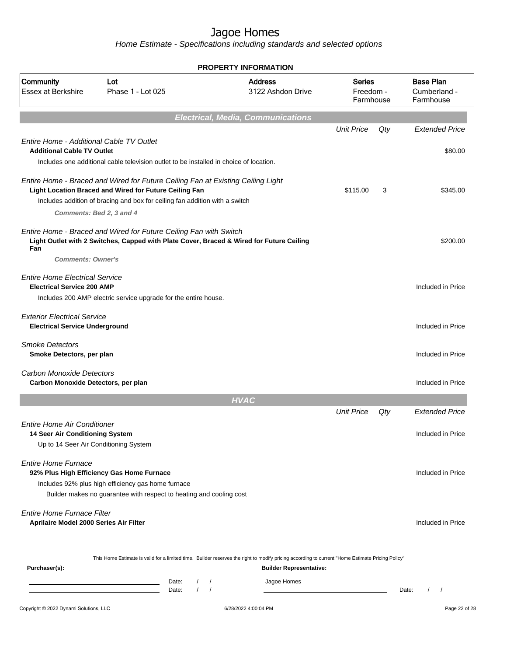|                                                                                                                |                                                                                                                                                                        | <b>PROPERTY INFORMATION</b>              |                                |                                         |       |                                               |
|----------------------------------------------------------------------------------------------------------------|------------------------------------------------------------------------------------------------------------------------------------------------------------------------|------------------------------------------|--------------------------------|-----------------------------------------|-------|-----------------------------------------------|
| Community<br><b>Essex at Berkshire</b>                                                                         | Lot<br>Phase 1 - Lot 025                                                                                                                                               | <b>Address</b>                           | 3122 Ashdon Drive              | <b>Series</b><br>Freedom -<br>Farmhouse |       | <b>Base Plan</b><br>Cumberland -<br>Farmhouse |
|                                                                                                                |                                                                                                                                                                        | <b>Electrical, Media, Communications</b> |                                |                                         |       |                                               |
|                                                                                                                |                                                                                                                                                                        |                                          |                                | <b>Unit Price</b>                       | Qty   | <b>Extended Price</b>                         |
| <b>Entire Home - Additional Cable TV Outlet</b><br><b>Additional Cable TV Outlet</b>                           | Includes one additional cable television outlet to be installed in choice of location.                                                                                 |                                          |                                |                                         |       | \$80.00                                       |
|                                                                                                                | Entire Home - Braced and Wired for Future Ceiling Fan at Existing Ceiling Light<br>Light Location Braced and Wired for Future Ceiling Fan                              |                                          |                                | \$115.00                                | 3     | \$345.00                                      |
|                                                                                                                | Includes addition of bracing and box for ceiling fan addition with a switch                                                                                            |                                          |                                |                                         |       |                                               |
|                                                                                                                | Comments: Bed 2, 3 and 4                                                                                                                                               |                                          |                                |                                         |       |                                               |
| Fan                                                                                                            | Entire Home - Braced and Wired for Future Ceiling Fan with Switch<br>Light Outlet with 2 Switches, Capped with Plate Cover, Braced & Wired for Future Ceiling          |                                          |                                |                                         |       | \$200.00                                      |
| <b>Comments: Owner's</b>                                                                                       |                                                                                                                                                                        |                                          |                                |                                         |       |                                               |
| <b>Entire Home Electrical Service</b><br><b>Electrical Service 200 AMP</b>                                     | Includes 200 AMP electric service upgrade for the entire house.                                                                                                        |                                          |                                |                                         |       | Included in Price                             |
| <b>Exterior Electrical Service</b><br><b>Electrical Service Underground</b>                                    |                                                                                                                                                                        |                                          |                                |                                         |       | Included in Price                             |
| <b>Smoke Detectors</b><br>Smoke Detectors, per plan                                                            |                                                                                                                                                                        |                                          |                                |                                         |       | Included in Price                             |
| Carbon Monoxide Detectors<br>Carbon Monoxide Detectors, per plan                                               |                                                                                                                                                                        |                                          |                                |                                         |       | Included in Price                             |
|                                                                                                                |                                                                                                                                                                        | <b>HVAC</b>                              |                                |                                         |       |                                               |
|                                                                                                                |                                                                                                                                                                        |                                          |                                | <b>Unit Price</b>                       | Qty   | <b>Extended Price</b>                         |
| <b>Entire Home Air Conditioner</b><br>14 Seer Air Conditioning System<br>Up to 14 Seer Air Conditioning System |                                                                                                                                                                        |                                          |                                |                                         |       | Included in Price                             |
| <b>Entire Home Furnace</b>                                                                                     | 92% Plus High Efficiency Gas Home Furnace<br>Includes 92% plus high efficiency gas home furnace<br>Builder makes no guarantee with respect to heating and cooling cost |                                          |                                |                                         |       | Included in Price                             |
| <b>Entire Home Furnace Filter</b><br>Aprilaire Model 2000 Series Air Filter                                    |                                                                                                                                                                        |                                          |                                |                                         |       | Included in Price                             |
| Purchaser(s):                                                                                                  | This Home Estimate is valid for a limited time. Builder reserves the right to modify pricing according to current "Home Estimate Pricing Policy"                       |                                          | <b>Builder Representative:</b> |                                         |       |                                               |
|                                                                                                                | Date:<br>the control of the control of the control of the control of the control of<br>the control of the control of the control of<br>$\prime$<br>Date:               | $\prime$<br>$\sqrt{2}$                   | Jagoe Homes                    |                                         | Date: | $\sqrt{2}$<br>$\prime$                        |
| Copyright © 2022 Dynami Solutions, LLC                                                                         |                                                                                                                                                                        | 6/28/2022 4:00:04 PM                     |                                |                                         |       | Page 22 of 28                                 |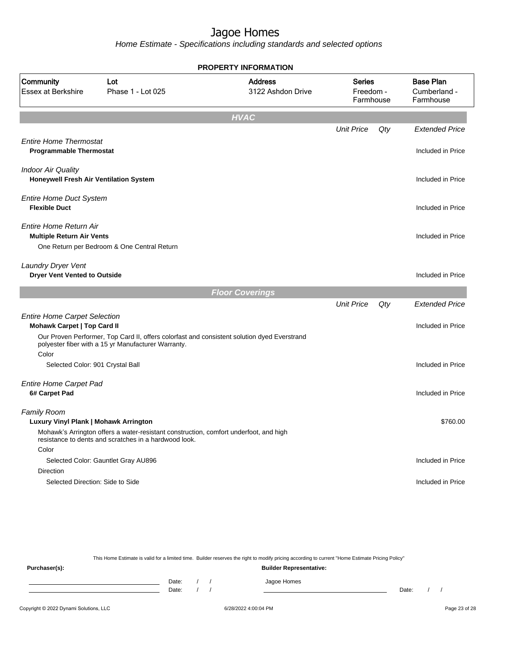Home Estimate - Specifications including standards and selected options

|                                                                     |                                                                                                                                                    | <b>PROPERTY INFORMATION</b>         |                                         |     |                                               |
|---------------------------------------------------------------------|----------------------------------------------------------------------------------------------------------------------------------------------------|-------------------------------------|-----------------------------------------|-----|-----------------------------------------------|
| Community<br><b>Essex at Berkshire</b>                              | Lot<br>Phase 1 - Lot 025                                                                                                                           | <b>Address</b><br>3122 Ashdon Drive | <b>Series</b><br>Freedom -<br>Farmhouse |     | <b>Base Plan</b><br>Cumberland -<br>Farmhouse |
|                                                                     |                                                                                                                                                    | <b>HVAC</b>                         |                                         |     |                                               |
|                                                                     |                                                                                                                                                    |                                     | <b>Unit Price</b>                       | Qty | <b>Extended Price</b>                         |
| <b>Entire Home Thermostat</b><br><b>Programmable Thermostat</b>     |                                                                                                                                                    |                                     |                                         |     | Included in Price                             |
| <b>Indoor Air Quality</b><br>Honeywell Fresh Air Ventilation System |                                                                                                                                                    |                                     |                                         |     | Included in Price                             |
| <b>Entire Home Duct System</b><br><b>Flexible Duct</b>              |                                                                                                                                                    |                                     |                                         |     | Included in Price                             |
| <b>Entire Home Return Air</b><br><b>Multiple Return Air Vents</b>   |                                                                                                                                                    |                                     |                                         |     | Included in Price                             |
|                                                                     | One Return per Bedroom & One Central Return                                                                                                        |                                     |                                         |     |                                               |
| <b>Laundry Dryer Vent</b><br><b>Dryer Vent Vented to Outside</b>    |                                                                                                                                                    |                                     |                                         |     | Included in Price                             |
|                                                                     |                                                                                                                                                    | <b>Floor Coverings</b>              |                                         |     |                                               |
|                                                                     |                                                                                                                                                    |                                     | <b>Unit Price</b>                       | Qty | <b>Extended Price</b>                         |
| <b>Entire Home Carpet Selection</b><br>Mohawk Carpet   Top Card II  |                                                                                                                                                    |                                     |                                         |     | Included in Price                             |
| Color                                                               | Our Proven Performer, Top Card II, offers colorfast and consistent solution dyed Everstrand<br>polyester fiber with a 15 yr Manufacturer Warranty. |                                     |                                         |     |                                               |
| Selected Color: 901 Crystal Ball                                    |                                                                                                                                                    |                                     |                                         |     | Included in Price                             |
| <b>Entire Home Carpet Pad</b><br>6# Carpet Pad                      |                                                                                                                                                    |                                     |                                         |     | Included in Price                             |
| Family Room<br>Luxury Vinyl Plank   Mohawk Arrington                |                                                                                                                                                    |                                     |                                         |     | \$760.00                                      |
|                                                                     | Mohawk's Arrington offers a water-resistant construction, comfort underfoot, and high<br>resistance to dents and scratches in a hardwood look.     |                                     |                                         |     |                                               |
| Color                                                               |                                                                                                                                                    |                                     |                                         |     |                                               |
| <b>Direction</b>                                                    | Selected Color: Gauntlet Gray AU896                                                                                                                |                                     |                                         |     | Included in Price                             |
| Selected Direction: Side to Side                                    |                                                                                                                                                    |                                     |                                         |     | Included in Price                             |
|                                                                     |                                                                                                                                                    |                                     |                                         |     |                                               |
|                                                                     |                                                                                                                                                    |                                     |                                         |     |                                               |

This Home Estimate is valid for a limited time. Builder reserves the right to modify pricing according to current "Home Estimate Pricing Policy" **Purchaser(s): Builder Representative:** Date: / / Jagoe Homes<br>Date: / / Jagoe Homes Date: / / Date: / /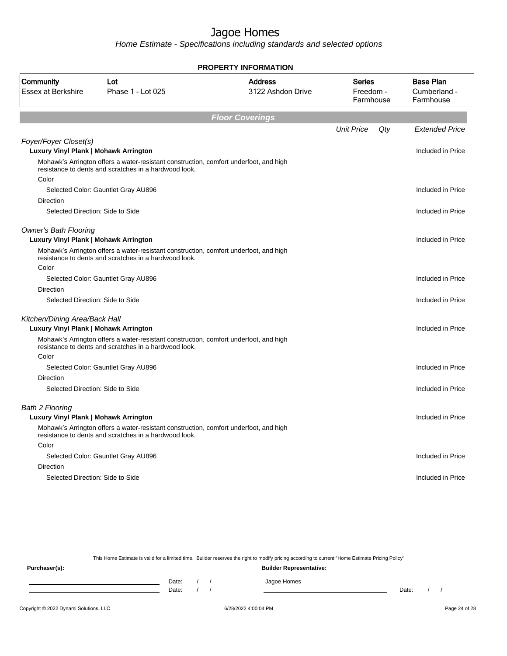Home Estimate - Specifications including standards and selected options

|                                                                       |                                                                                                                                                | <b>PROPERTY INFORMATION</b>         |                                         |     |                                               |
|-----------------------------------------------------------------------|------------------------------------------------------------------------------------------------------------------------------------------------|-------------------------------------|-----------------------------------------|-----|-----------------------------------------------|
| Community<br>Essex at Berkshire                                       | Lot<br>Phase 1 - Lot 025                                                                                                                       | <b>Address</b><br>3122 Ashdon Drive | <b>Series</b><br>Freedom -<br>Farmhouse |     | <b>Base Plan</b><br>Cumberland -<br>Farmhouse |
|                                                                       |                                                                                                                                                | <b>Floor Coverings</b>              |                                         |     |                                               |
|                                                                       |                                                                                                                                                |                                     | <b>Unit Price</b>                       | Qty | <b>Extended Price</b>                         |
| Foyer/Foyer Closet(s)<br>Luxury Vinyl Plank   Mohawk Arrington        |                                                                                                                                                |                                     |                                         |     | Included in Price                             |
|                                                                       | Mohawk's Arrington offers a water-resistant construction, comfort underfoot, and high<br>resistance to dents and scratches in a hardwood look. |                                     |                                         |     |                                               |
| Color                                                                 |                                                                                                                                                |                                     |                                         |     |                                               |
|                                                                       | Selected Color: Gauntlet Gray AU896                                                                                                            |                                     |                                         |     | Included in Price                             |
| Direction                                                             |                                                                                                                                                |                                     |                                         |     |                                               |
| Selected Direction: Side to Side                                      |                                                                                                                                                |                                     |                                         |     | Included in Price                             |
| <b>Owner's Bath Flooring</b><br>Luxury Vinyl Plank   Mohawk Arrington |                                                                                                                                                |                                     |                                         |     | Included in Price                             |
|                                                                       | Mohawk's Arrington offers a water-resistant construction, comfort underfoot, and high<br>resistance to dents and scratches in a hardwood look. |                                     |                                         |     |                                               |
| Color                                                                 |                                                                                                                                                |                                     |                                         |     |                                               |
|                                                                       | Selected Color: Gauntlet Gray AU896                                                                                                            |                                     |                                         |     | Included in Price                             |
| Direction                                                             |                                                                                                                                                |                                     |                                         |     |                                               |
| Selected Direction: Side to Side                                      |                                                                                                                                                |                                     |                                         |     | Included in Price                             |
| Kitchen/Dining Area/Back Hall                                         |                                                                                                                                                |                                     |                                         |     |                                               |
| Luxury Vinyl Plank   Mohawk Arrington                                 |                                                                                                                                                |                                     |                                         |     | Included in Price                             |
|                                                                       | Mohawk's Arrington offers a water-resistant construction, comfort underfoot, and high<br>resistance to dents and scratches in a hardwood look. |                                     |                                         |     |                                               |
| Color                                                                 |                                                                                                                                                |                                     |                                         |     |                                               |
|                                                                       | Selected Color: Gauntlet Gray AU896                                                                                                            |                                     |                                         |     | Included in Price                             |
| Direction                                                             |                                                                                                                                                |                                     |                                         |     |                                               |
| Selected Direction: Side to Side                                      |                                                                                                                                                |                                     |                                         |     | Included in Price                             |
| Bath 2 Flooring                                                       |                                                                                                                                                |                                     |                                         |     |                                               |
| Luxury Vinyl Plank   Mohawk Arrington                                 |                                                                                                                                                |                                     |                                         |     | Included in Price                             |
|                                                                       | Mohawk's Arrington offers a water-resistant construction, comfort underfoot, and high<br>resistance to dents and scratches in a hardwood look. |                                     |                                         |     |                                               |
| Color                                                                 |                                                                                                                                                |                                     |                                         |     |                                               |
|                                                                       | Selected Color: Gauntlet Gray AU896                                                                                                            |                                     |                                         |     | Included in Price                             |
| <b>Direction</b>                                                      |                                                                                                                                                |                                     |                                         |     |                                               |
| Selected Direction: Side to Side                                      |                                                                                                                                                |                                     |                                         |     | Included in Price                             |
|                                                                       |                                                                                                                                                |                                     |                                         |     |                                               |

This Home Estimate is valid for a limited time. Builder reserves the right to modify pricing according to current "Home Estimate Pricing Policy"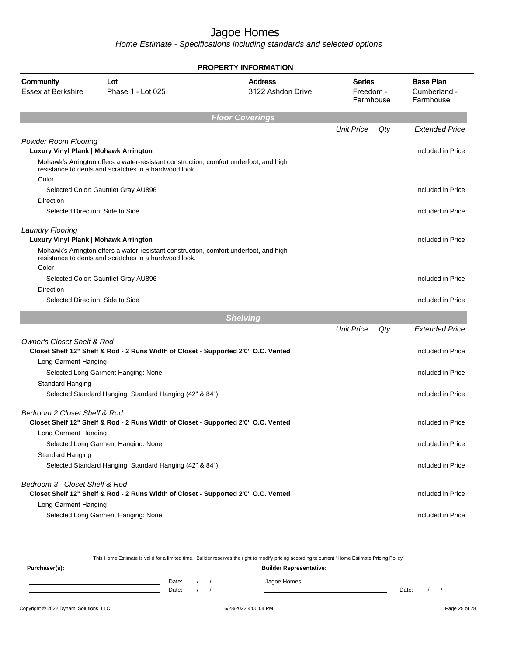Home Estimate - Specifications including standards and selected options

|                                        |                                                                                                                                                | <b>PROPERTY INFORMATION</b>         |                                         |     |                                               |
|----------------------------------------|------------------------------------------------------------------------------------------------------------------------------------------------|-------------------------------------|-----------------------------------------|-----|-----------------------------------------------|
| Community<br><b>Essex at Berkshire</b> | Lot<br>Phase 1 - Lot 025                                                                                                                       | <b>Address</b><br>3122 Ashdon Drive | <b>Series</b><br>Freedom -<br>Farmhouse |     | <b>Base Plan</b><br>Cumberland -<br>Farmhouse |
|                                        |                                                                                                                                                | <b>Floor Coverings</b>              |                                         |     |                                               |
|                                        |                                                                                                                                                |                                     | <b>Unit Price</b>                       | Qty | <b>Extended Price</b>                         |
| <b>Powder Room Flooring</b>            |                                                                                                                                                |                                     |                                         |     |                                               |
| Luxury Vinyl Plank   Mohawk Arrington  |                                                                                                                                                |                                     |                                         |     | Included in Price                             |
| Color                                  | Mohawk's Arrington offers a water-resistant construction, comfort underfoot, and high<br>resistance to dents and scratches in a hardwood look. |                                     |                                         |     |                                               |
|                                        | Selected Color: Gauntlet Gray AU896                                                                                                            |                                     |                                         |     | Included in Price                             |
| Direction                              |                                                                                                                                                |                                     |                                         |     |                                               |
| Selected Direction: Side to Side       |                                                                                                                                                |                                     |                                         |     | Included in Price                             |
|                                        |                                                                                                                                                |                                     |                                         |     |                                               |
| <b>Laundry Flooring</b>                |                                                                                                                                                |                                     |                                         |     |                                               |
| Luxury Vinyl Plank   Mohawk Arrington  | Mohawk's Arrington offers a water-resistant construction, comfort underfoot, and high                                                          |                                     |                                         |     | Included in Price                             |
|                                        | resistance to dents and scratches in a hardwood look.                                                                                          |                                     |                                         |     |                                               |
| Color                                  |                                                                                                                                                |                                     |                                         |     |                                               |
|                                        | Selected Color: Gauntlet Gray AU896                                                                                                            |                                     |                                         |     | Included in Price                             |
| <b>Direction</b>                       |                                                                                                                                                |                                     |                                         |     |                                               |
| Selected Direction: Side to Side       |                                                                                                                                                |                                     |                                         |     | Included in Price                             |
|                                        |                                                                                                                                                | <b>Shelving</b>                     |                                         |     |                                               |
|                                        |                                                                                                                                                |                                     | <b>Unit Price</b>                       | Qty | <b>Extended Price</b>                         |
| <b>Owner's Closet Shelf &amp; Rod</b>  | Closet Shelf 12" Shelf & Rod - 2 Runs Width of Closet - Supported 2'0" O.C. Vented                                                             |                                     |                                         |     | Included in Price                             |
| Long Garment Hanging                   |                                                                                                                                                |                                     |                                         |     |                                               |
|                                        | Selected Long Garment Hanging: None                                                                                                            |                                     |                                         |     | Included in Price                             |
| Standard Hanging                       |                                                                                                                                                |                                     |                                         |     |                                               |
|                                        | Selected Standard Hanging: Standard Hanging (42" & 84")                                                                                        |                                     |                                         |     | Included in Price                             |
| Bedroom 2 Closet Shelf & Rod           |                                                                                                                                                |                                     |                                         |     |                                               |
|                                        | Closet Shelf 12" Shelf & Rod - 2 Runs Width of Closet - Supported 2'0" O.C. Vented                                                             |                                     |                                         |     | Included in Price                             |
| Long Garment Hanging                   |                                                                                                                                                |                                     |                                         |     |                                               |
|                                        | Selected Long Garment Hanging: None                                                                                                            |                                     |                                         |     | Included in Price                             |
| Standard Hanging                       |                                                                                                                                                |                                     |                                         |     |                                               |
|                                        | Selected Standard Hanging: Standard Hanging (42" & 84")                                                                                        |                                     |                                         |     | Included in Price                             |
| Bedroom 3 Closet Shelf & Rod           |                                                                                                                                                |                                     |                                         |     |                                               |
|                                        | Closet Shelf 12" Shelf & Rod - 2 Runs Width of Closet - Supported 2'0" O.C. Vented                                                             |                                     |                                         |     | Included in Price                             |
| Long Garment Hanging                   |                                                                                                                                                |                                     |                                         |     |                                               |
|                                        | Selected Long Garment Hanging: None                                                                                                            |                                     |                                         |     | Included in Price                             |
|                                        |                                                                                                                                                |                                     |                                         |     |                                               |

This Home Estimate is valid for a limited time. Builder reserves the right to modify pricing according to current "Home Estimate Pricing Policy"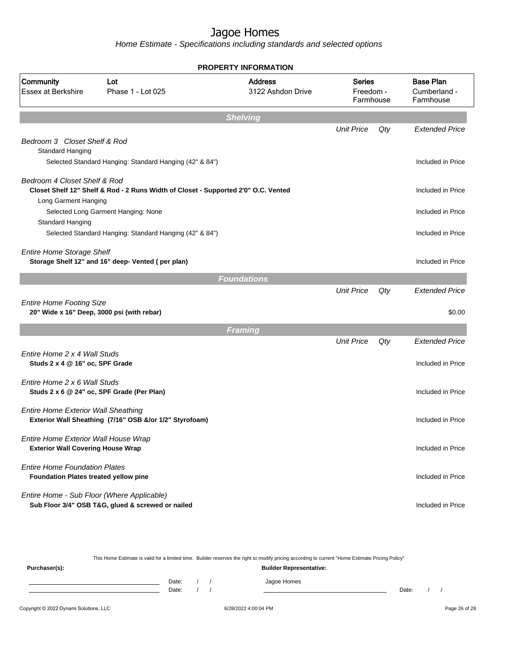Home Estimate - Specifications including standards and selected options

|                                                  | <b>PROPERTY INFORMATION</b>                                                                     |                                     |                                         |     |                                               |  |  |  |  |
|--------------------------------------------------|-------------------------------------------------------------------------------------------------|-------------------------------------|-----------------------------------------|-----|-----------------------------------------------|--|--|--|--|
| Community<br><b>Essex at Berkshire</b>           | Lot<br>Phase 1 - Lot 025                                                                        | <b>Address</b><br>3122 Ashdon Drive | <b>Series</b><br>Freedom -<br>Farmhouse |     | <b>Base Plan</b><br>Cumberland -<br>Farmhouse |  |  |  |  |
|                                                  |                                                                                                 | <b>Shelving</b>                     |                                         |     |                                               |  |  |  |  |
|                                                  |                                                                                                 |                                     | <b>Unit Price</b>                       | Qty | <b>Extended Price</b>                         |  |  |  |  |
| Bedroom 3 Closet Shelf & Rod<br>Standard Hanging |                                                                                                 |                                     |                                         |     |                                               |  |  |  |  |
|                                                  | Selected Standard Hanging: Standard Hanging (42" & 84")                                         |                                     |                                         |     | Included in Price                             |  |  |  |  |
|                                                  |                                                                                                 |                                     |                                         |     |                                               |  |  |  |  |
| Bedroom 4 Closet Shelf & Rod                     | Closet Shelf 12" Shelf & Rod - 2 Runs Width of Closet - Supported 2'0" O.C. Vented              |                                     |                                         |     | Included in Price                             |  |  |  |  |
| Long Garment Hanging                             |                                                                                                 |                                     |                                         |     |                                               |  |  |  |  |
|                                                  | Selected Long Garment Hanging: None                                                             |                                     |                                         |     | Included in Price                             |  |  |  |  |
| Standard Hanging                                 |                                                                                                 |                                     |                                         |     |                                               |  |  |  |  |
|                                                  | Selected Standard Hanging: Standard Hanging (42" & 84")                                         |                                     |                                         |     | Included in Price                             |  |  |  |  |
| <b>Entire Home Storage Shelf</b>                 |                                                                                                 |                                     |                                         |     |                                               |  |  |  |  |
|                                                  | Storage Shelf 12" and 16" deep- Vented (per plan)                                               |                                     |                                         |     | Included in Price                             |  |  |  |  |
|                                                  |                                                                                                 | <b>Foundations</b>                  |                                         |     |                                               |  |  |  |  |
|                                                  |                                                                                                 |                                     | <b>Unit Price</b>                       | Qty | <b>Extended Price</b>                         |  |  |  |  |
| <b>Entire Home Footing Size</b>                  |                                                                                                 |                                     |                                         |     |                                               |  |  |  |  |
|                                                  | 20" Wide x 16" Deep, 3000 psi (with rebar)                                                      |                                     |                                         |     | \$0.00                                        |  |  |  |  |
|                                                  |                                                                                                 | <b>Framing</b>                      |                                         |     |                                               |  |  |  |  |
|                                                  |                                                                                                 |                                     | <b>Unit Price</b>                       | Qty | <b>Extended Price</b>                         |  |  |  |  |
| Entire Home 2 x 4 Wall Studs                     |                                                                                                 |                                     |                                         |     |                                               |  |  |  |  |
| Studs 2 x 4 @ 16" oc, SPF Grade                  |                                                                                                 |                                     |                                         |     | Included in Price                             |  |  |  |  |
| Entire Home 2 x 6 Wall Studs                     |                                                                                                 |                                     |                                         |     |                                               |  |  |  |  |
|                                                  | Studs 2 x 6 @ 24" oc, SPF Grade (Per Plan)                                                      |                                     |                                         |     | Included in Price                             |  |  |  |  |
| <b>Entire Home Exterior Wall Sheathing</b>       |                                                                                                 |                                     |                                         |     |                                               |  |  |  |  |
|                                                  | Exterior Wall Sheathing (7/16" OSB &/or 1/2" Styrofoam)                                         |                                     |                                         |     | Included in Price                             |  |  |  |  |
| Entire Home Exterior Wall House Wrap             |                                                                                                 |                                     |                                         |     |                                               |  |  |  |  |
| <b>Exterior Wall Covering House Wrap</b>         |                                                                                                 |                                     |                                         |     | Included in Price                             |  |  |  |  |
| <b>Entire Home Foundation Plates</b>             |                                                                                                 |                                     |                                         |     |                                               |  |  |  |  |
| Foundation Plates treated yellow pine            |                                                                                                 |                                     |                                         |     | Included in Price                             |  |  |  |  |
|                                                  |                                                                                                 |                                     |                                         |     |                                               |  |  |  |  |
|                                                  | Entire Home - Sub Floor (Where Applicable)<br>Sub Floor 3/4" OSB T&G, glued & screwed or nailed |                                     |                                         |     | Included in Price                             |  |  |  |  |
|                                                  |                                                                                                 |                                     |                                         |     |                                               |  |  |  |  |

This Home Estimate is valid for a limited time. Builder reserves the right to modify pricing according to current "Home Estimate Pricing Policy"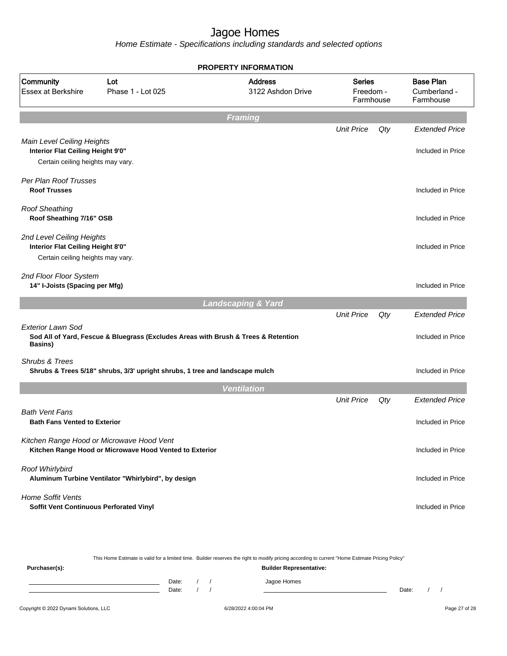|                                                                                                      |                                                                                                      | <b>PROPERTY INFORMATION</b>         |                                         |        |                                               |
|------------------------------------------------------------------------------------------------------|------------------------------------------------------------------------------------------------------|-------------------------------------|-----------------------------------------|--------|-----------------------------------------------|
| Community<br><b>Essex at Berkshire</b>                                                               | Lot<br>Phase 1 - Lot 025                                                                             | <b>Address</b><br>3122 Ashdon Drive | <b>Series</b><br>Freedom -<br>Farmhouse |        | <b>Base Plan</b><br>Cumberland -<br>Farmhouse |
|                                                                                                      |                                                                                                      | <b>Framing</b>                      |                                         |        |                                               |
|                                                                                                      |                                                                                                      |                                     | <b>Unit Price</b>                       | $Q$ ty | <b>Extended Price</b>                         |
| Main Level Ceiling Heights<br>Interior Flat Ceiling Height 9'0"<br>Certain ceiling heights may vary. |                                                                                                      |                                     |                                         |        | Included in Price                             |
| Per Plan Roof Trusses<br><b>Roof Trusses</b>                                                         |                                                                                                      |                                     |                                         |        | Included in Price                             |
| <b>Roof Sheathing</b><br>Roof Sheathing 7/16" OSB                                                    |                                                                                                      |                                     |                                         |        | Included in Price                             |
| 2nd Level Ceiling Heights<br>Interior Flat Ceiling Height 8'0"<br>Certain ceiling heights may vary.  |                                                                                                      |                                     |                                         |        | Included in Price                             |
| 2nd Floor Floor System<br>14" I-Joists (Spacing per Mfg)                                             |                                                                                                      |                                     |                                         |        | Included in Price                             |
|                                                                                                      |                                                                                                      | <b>Landscaping &amp; Yard</b>       |                                         |        |                                               |
| <b>Exterior Lawn Sod</b><br>Basins)                                                                  | Sod All of Yard, Fescue & Bluegrass (Excludes Areas with Brush & Trees & Retention                   |                                     | <b>Unit Price</b>                       | Qty    | <b>Extended Price</b><br>Included in Price    |
| Shrubs & Trees                                                                                       | Shrubs & Trees 5/18" shrubs, 3/3' upright shrubs, 1 tree and landscape mulch                         |                                     |                                         |        | Included in Price                             |
|                                                                                                      |                                                                                                      | <b>Ventilation</b>                  |                                         |        |                                               |
|                                                                                                      |                                                                                                      |                                     | <b>Unit Price</b>                       | Qty    | <b>Extended Price</b>                         |
| <b>Bath Vent Fans</b><br><b>Bath Fans Vented to Exterior</b>                                         |                                                                                                      |                                     |                                         |        | Included in Price                             |
|                                                                                                      | Kitchen Range Hood or Microwave Hood Vent<br>Kitchen Range Hood or Microwave Hood Vented to Exterior |                                     |                                         |        | Included in Price                             |
| Roof Whirlybird                                                                                      | Aluminum Turbine Ventilator "Whirlybird", by design                                                  |                                     |                                         |        | Included in Price                             |
| <b>Home Soffit Vents</b><br>Soffit Vent Continuous Perforated Vinyl                                  |                                                                                                      |                                     |                                         |        | Included in Price                             |
|                                                                                                      |                                                                                                      |                                     |                                         |        |                                               |

|               |       | This Home Estimate is valid for a limited time. Builder reserves the right to modify pricing according to current "Home Estimate Pricing Policy" |  |             |       |  |  |  |  |
|---------------|-------|--------------------------------------------------------------------------------------------------------------------------------------------------|--|-------------|-------|--|--|--|--|
| Purchaser(s): |       | <b>Builder Representative:</b>                                                                                                                   |  |             |       |  |  |  |  |
|               | Date: |                                                                                                                                                  |  | Jagoe Homes |       |  |  |  |  |
|               | Date: |                                                                                                                                                  |  |             | Date: |  |  |  |  |
|               |       |                                                                                                                                                  |  |             |       |  |  |  |  |